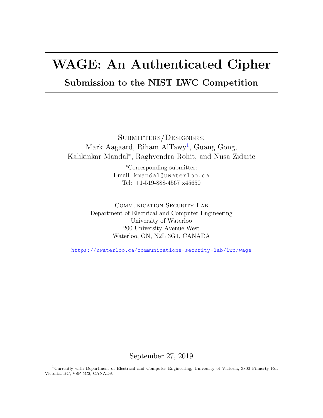## WAGE: An Authenticated Cipher

## Submission to the NIST LWC Competition

SUBMITTERS/DESIGNERS: Mark Aagaard, Riham AlTawy<sup>[1](#page-0-0)</sup>, Guang Gong, Kalikinkar Mandal<sup>∗</sup> , Raghvendra Rohit, and Nusa Zidaric

> <sup>∗</sup>Corresponding submitter: Email: kmandal@uwaterloo.ca Tel: +1-519-888-4567 x45650

COMMUNICATION SECURITY LAB Department of Electrical and Computer Engineering University of Waterloo 200 University Avenue West Waterloo, ON, N2L 3G1, CANADA

<https://uwaterloo.ca/communications-security-lab/lwc/wage>

September 27, 2019

<span id="page-0-0"></span><sup>1</sup>Currently with Department of Electrical and Computer Engineering, University of Victoria, 3800 Finnerty Rd, Victoria, BC, V8P 5C2, CANADA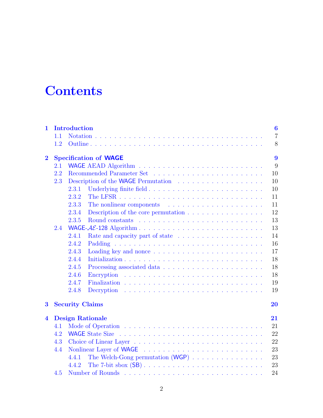## **Contents**

| 1.                      | 1.1 | <b>Introduction</b>                                                                               | $\boldsymbol{6}$<br>$\overline{7}$ |
|-------------------------|-----|---------------------------------------------------------------------------------------------------|------------------------------------|
|                         | 1.2 |                                                                                                   | 8                                  |
| $\bf{2}$                |     | <b>Specification of WAGE</b>                                                                      | 9                                  |
|                         | 2.1 |                                                                                                   | 9                                  |
|                         | 2.2 | 10                                                                                                |                                    |
|                         | 2.3 | 10                                                                                                |                                    |
|                         |     | 10<br>2.3.1                                                                                       |                                    |
|                         |     | 2.3.2<br>11                                                                                       |                                    |
|                         |     | 2.3.3<br>The nonlinear components $\dots \dots \dots \dots \dots \dots \dots$<br>11               |                                    |
|                         |     | 12<br>2.3.4<br>Description of the core permutation $\dots \dots \dots \dots \dots \dots$          |                                    |
|                         |     | 13<br>2.3.5                                                                                       |                                    |
|                         | 2.4 | 13                                                                                                |                                    |
|                         |     | 2.4.1<br>14<br>Rate and capacity part of state                                                    |                                    |
|                         |     | 2.4.2<br>16                                                                                       |                                    |
|                         |     | 2.4.3<br>17                                                                                       |                                    |
|                         |     | 2.4.4<br>18                                                                                       |                                    |
|                         |     | 18<br>2.4.5                                                                                       |                                    |
|                         |     | 2.4.6<br>18                                                                                       |                                    |
|                         |     | 2.4.7<br>19                                                                                       |                                    |
|                         |     | 2.4.8<br>19<br>Decryption $\ldots \ldots \ldots \ldots \ldots \ldots \ldots \ldots \ldots \ldots$ |                                    |
|                         |     |                                                                                                   |                                    |
| $\bf{3}$                |     | <b>Security Claims</b><br>20                                                                      |                                    |
| $\overline{\mathbf{4}}$ |     | <b>Design Rationale</b><br>21                                                                     |                                    |
|                         | 4.1 | 21                                                                                                |                                    |
|                         | 4.2 | 22                                                                                                |                                    |
|                         | 4.3 | 22                                                                                                |                                    |
|                         | 4.4 | 23                                                                                                |                                    |
|                         |     | 23<br>4.4.1                                                                                       |                                    |
|                         |     | 4.4.2<br>23                                                                                       |                                    |
|                         | 4.5 | 24                                                                                                |                                    |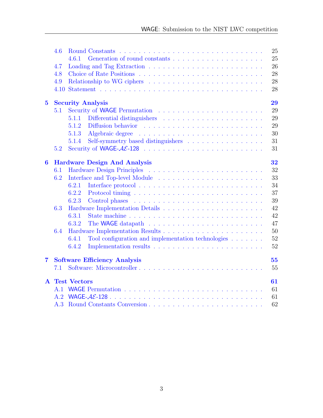|                | 4.6  | 25                                                                                                                        |
|----------------|------|---------------------------------------------------------------------------------------------------------------------------|
|                |      | 25<br>461                                                                                                                 |
|                | 4.7  | 26                                                                                                                        |
|                | 4.8  | 28                                                                                                                        |
|                | 4.9  | 28                                                                                                                        |
|                | 4.10 | 28                                                                                                                        |
| $\bf{5}$       |      | 29<br><b>Security Analysis</b>                                                                                            |
|                | 5.1  | 29                                                                                                                        |
|                |      | 29<br>5.1.1                                                                                                               |
|                |      | 29<br>5.1.2                                                                                                               |
|                |      | Algebraic degree<br>30<br>5.1.3<br>المتحاولة والمتحاولة والمتحاولة والمتحاولة والمتحاولة والمتحاولة والمتحاولة والمتحاولة |
|                |      | Self-symmetry based distinguishers<br>31<br>5.1.4                                                                         |
|                | 5.2  | 31                                                                                                                        |
| 6              |      | <b>Hardware Design And Analysis</b><br>32                                                                                 |
|                | 6.1  | 32                                                                                                                        |
|                | 6.2  | 33                                                                                                                        |
|                |      | 34<br>6.2.1                                                                                                               |
|                |      | 37<br>6.2.2                                                                                                               |
|                |      | 39<br>6.2.3                                                                                                               |
|                | 6.3  | 42                                                                                                                        |
|                |      | 42<br>6.3.1                                                                                                               |
|                |      | 47<br>6.3.2<br>The WAGE datapath $\ldots \ldots \ldots \ldots \ldots \ldots \ldots \ldots \ldots$                         |
|                | 6.4  | 50                                                                                                                        |
|                |      | 52<br>Tool configuration and implementation technologies $\ldots \ldots$<br>6.4.1                                         |
|                |      | 52<br>6.4.2                                                                                                               |
| $\overline{7}$ |      | 55<br><b>Software Efficiency Analysis</b>                                                                                 |
|                | 7.1  | 55                                                                                                                        |
|                |      | <b>A</b> Test Vectors<br>61                                                                                               |
|                | A.1  | 61                                                                                                                        |
|                | A.2  | 61                                                                                                                        |
|                | A.3  | 62                                                                                                                        |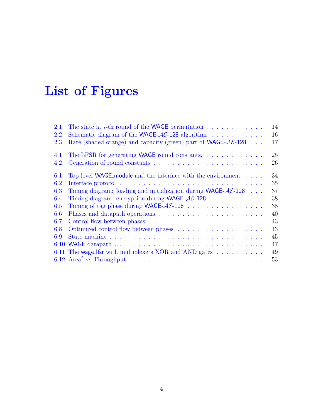# List of Figures

| 2.1  | The state at <i>i</i> -th round of the <b>WAGE</b> permutation $\ldots \ldots \ldots \ldots$                 | 14 |
|------|--------------------------------------------------------------------------------------------------------------|----|
| 2.2  | Schematic diagram of the WAGE- $AE$ -128 algorithm                                                           | 16 |
| 2.3  | Rate (shaded orange) and capacity (green) part of <b>WAGE-<math>AE</math>-128</b> .<br>$\sim$                | 17 |
| 4.1  | The LFSR for generating WAGE round constants.                                                                | 25 |
| 4.2  |                                                                                                              | 26 |
| 6.1  | Top-level WAGE_module and the interface with the environment                                                 | 34 |
| 6.2  |                                                                                                              | 35 |
| 6.3  | Timing diagram: loading and initialization during $WAGE-\mathcal{A}\mathcal{E}$ -128                         | 37 |
| 6.4  | Timing diagram: encryption during WAGE- $AE$ -128                                                            | 38 |
| 6.5  |                                                                                                              | 38 |
| 6.6  |                                                                                                              | 40 |
| 6.7  |                                                                                                              | 43 |
| 6.8  | Optimized control flow between phases $\dots \dots \dots \dots \dots \dots \dots$                            | 43 |
| 6.9  |                                                                                                              | 45 |
| 6.10 |                                                                                                              | 47 |
|      | 6.11 The wage_lfsr with multiplexers XOR and AND gates $\dots \dots \dots$                                   | 49 |
|      | 6.12 Area <sup>2</sup> vs Throughput $\ldots \ldots \ldots \ldots \ldots \ldots \ldots \ldots \ldots \ldots$ | 53 |
|      |                                                                                                              |    |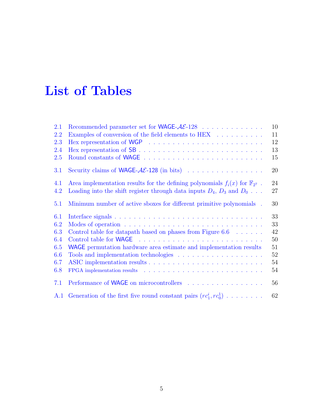## List of Tables

| 2.1 | Recommended parameter set for WAGE-AE-128                                                                                                                                                                                      | 10 |
|-----|--------------------------------------------------------------------------------------------------------------------------------------------------------------------------------------------------------------------------------|----|
| 2.2 | Examples of conversion of the field elements to $\text{HEX} \quad \ldots \quad \ldots \quad \ldots$                                                                                                                            | 11 |
| 2.3 | Hex representation of WGP $\ldots \ldots \ldots \ldots \ldots \ldots \ldots \ldots$                                                                                                                                            | 12 |
| 2.4 |                                                                                                                                                                                                                                | 13 |
| 2.5 |                                                                                                                                                                                                                                | 15 |
| 3.1 | Security claims of <b>WAGE-AE-128</b> (in bits) $\ldots \ldots \ldots \ldots \ldots$                                                                                                                                           | 20 |
| 4.1 | Area implementation results for the defining polynomials $f_i(x)$ for $\mathbb{F}_{2^7}$ .                                                                                                                                     | 24 |
| 4.2 | Loading into the shift register through data inputs $D_4$ , $D_3$ and $D_0$                                                                                                                                                    | 27 |
| 5.1 | Minimum number of active sboxes for different primitive polynomials.                                                                                                                                                           | 30 |
| 6.1 |                                                                                                                                                                                                                                | 33 |
| 6.2 | Modes of operation $\ldots \ldots \ldots \ldots \ldots \ldots \ldots \ldots \ldots \ldots$                                                                                                                                     | 33 |
| 6.3 | Control table for datapath based on phases from Figure 6.6 $\dots \dots$                                                                                                                                                       | 42 |
| 6.4 |                                                                                                                                                                                                                                | 50 |
| 6.5 | WAGE permutation hardware area estimate and implementation results                                                                                                                                                             | 51 |
| 6.6 | Tools and implementation technologies $\dots \dots \dots \dots \dots \dots \dots$                                                                                                                                              | 52 |
| 6.7 |                                                                                                                                                                                                                                | 54 |
| 6.8 | FPGA implementation results (a) and a contract of the set of the set of the set of the set of the set of the set of the set of the set of the set of the set of the set of the set of the set of the set of the set of the set | 54 |
| 7.1 | Performance of WAGE on microcontrollers                                                                                                                                                                                        | 56 |
|     | A.1 Generation of the first five round constant pairs $(r c_1^i, r c_0^1)$                                                                                                                                                     | 62 |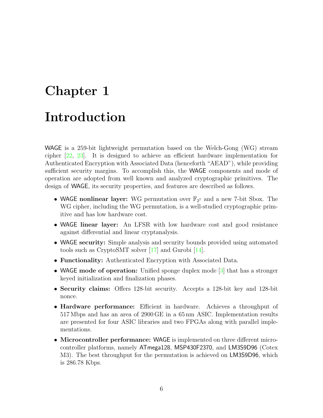# <span id="page-5-0"></span>Chapter 1 Introduction

WAGE is a 259-bit lightweight permutation based on the Welch-Gong (WG) stream cipher [\[22,](#page-58-0) [23\]](#page-58-1). It is designed to achieve an efficient hardware implementation for Authenticated Encryption with Associated Data (henceforth "AEAD"), while providing sufficient security margins. To accomplish this, the WAGE components and mode of operation are adopted from well known and analyzed cryptographic primitives. The design of WAGE, its security properties, and features are described as follows.

- WAGE nonlinear layer: WG permutation over  $\mathbb{F}_{2^7}$  and a new 7-bit Sbox. The WG cipher, including the WG permutation, is a well-studied cryptographic primitive and has low hardware cost.
- WAGE linear layer: An LFSR with low hardware cost and good resistance against differential and linear cryptanalysis.
- WAGE security: Simple analysis and security bounds provided using automated tools such as CryptoSMT solver [\[17\]](#page-58-2) and Gurobi [\[14\]](#page-58-3).
- Functionality: Authenticated Encryption with Associated Data.
- WAGE mode of operation: Unified sponge duplex mode [\[3\]](#page-57-0) that has a stronger keyed initialization and finalization phases.
- Security claims: Offers 128-bit security. Accepts a 128-bit key and 128-bit nonce.
- Hardware performance: Efficient in hardware. Achieves a throughput of 517 Mbps and has an area of 2900 GE in a 65 nm ASIC. Implementation results are presented for four ASIC libraries and two FPGAs along with parallel implementations.
- Microcontroller performance: WAGE is implemented on three different microcontroller platforms, namely ATmega128, MSP430F2370, and LM3S9D96 (Cotex M3). The best throughput for the permutation is achieved on LM3S9D96, which is 286.78 Kbps.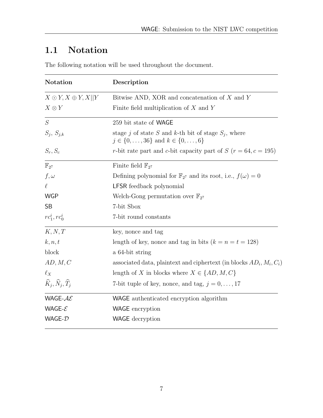## <span id="page-6-0"></span>1.1 Notation

The following notation will be used throughout the document.

| <b>Notation</b>                               | Description                                                                                                      |
|-----------------------------------------------|------------------------------------------------------------------------------------------------------------------|
| $X \odot Y, X \oplus Y, X  Y$                 | Bitwise AND, XOR and concatenation of $X$ and $Y$                                                                |
| $X \otimes Y$                                 | Finite field multiplication of $X$ and $Y$                                                                       |
| S                                             | 259 bit state of WAGE                                                                                            |
| $S_j$ , $S_{j,k}$                             | stage j of state S and k-th bit of stage $S_i$ , where<br>$j \in \{0, \ldots, 36\}$ and $k \in \{0, \ldots, 6\}$ |
| $S_r, S_c$                                    | r-bit rate part and c-bit capacity part of $S(r = 64, c = 195)$                                                  |
| $\mathbb{F}_{2^7}$                            | Finite field $\mathbb{F}_{2^7}$                                                                                  |
| $f, \omega$                                   | Defining polynomial for $\mathbb{F}_{2^7}$ and its root, i.e., $f(\omega) = 0$                                   |
| $\ell$                                        | LFSR feedback polynomial                                                                                         |
| <b>WGP</b>                                    | Welch-Gong permutation over $\mathbb{F}_{2^7}$                                                                   |
| <b>SB</b>                                     | 7-bit Sbox                                                                                                       |
| $rc_1^i, rc_0^i$                              | 7-bit round constants                                                                                            |
| K, N, T                                       | key, nonce and tag                                                                                               |
| k, n, t                                       | length of key, nonce and tag in bits $(k = n = t = 128)$                                                         |
| block                                         | a 64-bit string                                                                                                  |
| AD, M, C                                      | associated data, plaintext and ciphertext (in blocks $AD_i$ , $M_i$ , $C_i$ )                                    |
| $\ell_X$                                      | length of X in blocks where $X \in \{AD, M, C\}$                                                                 |
| $\widehat{K}_j, \widehat{N}_j, \widehat{T}_j$ | 7-bit tuple of key, nonce, and tag, $j = 0, , 17$                                                                |
| WAGE- $A\mathcal{E}$                          | WAGE authenticated encryption algorithm                                                                          |
| WAGE- $\mathcal E$                            | <b>WAGE</b> encryption                                                                                           |
| WAGE- $\mathcal D$                            | <b>WAGE</b> decryption                                                                                           |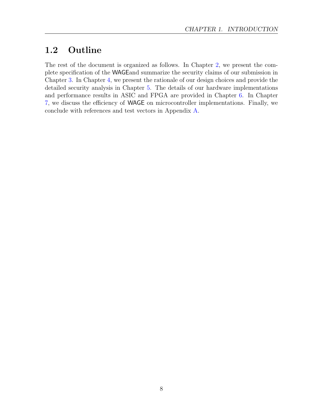## <span id="page-7-0"></span>1.2 Outline

The rest of the document is organized as follows. In Chapter [2,](#page-8-0) we present the complete specification of the WAGEand summarize the security claims of our submission in Chapter [3.](#page-19-0) In Chapter [4,](#page-20-0) we present the rationale of our design choices and provide the detailed security analysis in Chapter [5.](#page-28-0) The details of our hardware implementations and performance results in ASIC and FPGA are provided in Chapter [6.](#page-31-0) In Chapter [7,](#page-54-0) we discuss the efficiency of WAGE on microcontroller implementations. Finally, we conclude with references and test vectors in Appendix [A.](#page-60-0)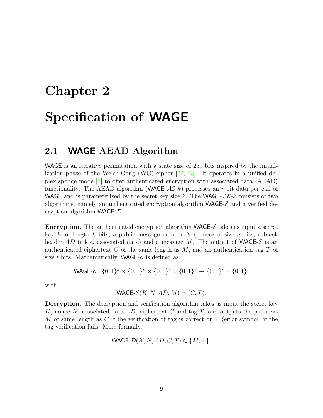# <span id="page-8-0"></span>Chapter 2 Specification of WAGE

## <span id="page-8-1"></span>2.1 WAGE AEAD Algorithm

WAGE is an iterative permutation with a state size of 259 bits inspired by the initialization phase of the Welch-Gong (WG) cipher [\[22,](#page-58-0) [23\]](#page-58-1). It operates in a unified duplex sponge mode [\[3\]](#page-57-0) to offer authenticated encryption with associated data (AEAD) functionality. The AEAD algorithm (WAGE- $A\mathcal{E}_k$ ) processes an r-bit data per call of WAGE and is parameterized by the secret key size k. The WAGE- $A\mathcal{E}\text{-}k$  consists of two algorithms, namely an authenticated encryption algorithm  $WAGE- \mathcal{E}$  and a verified decryption algorithm WAGE-D.

**Encryption.** The authenticated encryption algorithm **WAGE-** $\mathcal{E}$  takes as input a secret key K of length k bits, a public message number  $N$  (nonce) of size  $n$  bits, a block header AD (a.k.a, associated data) and a message M. The output of WAGE- $\mathcal E$  is an authenticated ciphertext  $C$  of the same length as  $M$ , and an authentication tag  $T$  of size t bits. Mathematically, **WAGE-** $\mathcal{E}$  is defined as

$$
\mathsf{WAGE}\text{-}\mathcal{E}: \{0,1\}^k \times \{0,1\}^n \times \{0,1\}^* \times \{0,1\}^* \to \{0,1\}^* \times \{0,1\}^t
$$

with

$$
\mathsf{WAGE\text{-}\!\mathcal{E}}(K,N,AD,M)=(C,T).
$$

Decryption. The decryption and verification algorithm takes as input the secret key K, nonce N, associated data  $AD$ , ciphertext C and tag T, and outputs the plaintext M of same length as C if the verification of tag is correct or  $\perp$  (error symbol) if the tag verification fails. More formally,

$$
\mathsf{WAGE}\text{-}\mathcal{D}(K, N, AD, C, T) \in \{M, \perp\}.
$$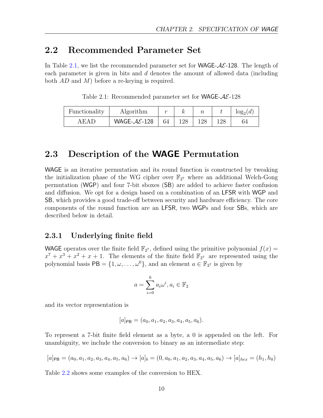## <span id="page-9-0"></span>2.2 Recommended Parameter Set

In Table [2.1,](#page-9-3) we list the recommended parameter set for **WAGE-** $AE$ **-128**. The length of each parameter is given in bits and d denotes the amount of allowed data (including both AD and M) before a re-keying is required.

<span id="page-9-3"></span>

| Functionality | Algorithm                 |    |     |     |     | $log_2(d)$ |
|---------------|---------------------------|----|-----|-----|-----|------------|
| A E A D       | WAGE- $A\mathcal{E}$ -128 | 64 | 128 | 128 | 128 | 64         |

Table 2.1: Recommended parameter set for **WAGE-AE-128** 

## <span id="page-9-1"></span>2.3 Description of the WAGE Permutation

WAGE is an iterative permutation and its round function is constructed by tweaking the initialization phase of the WG cipher over  $\mathbb{F}_{2^7}$  where an additional Welch-Gong permutation (WGP) and four 7-bit sboxes (SB) are added to achieve faster confusion and diffusion. We opt for a design based on a combination of an LFSR with WGP and SB, which provides a good trade-off between security and hardware efficiency. The core components of the round function are an LFSR, two WGPs and four SBs, which are described below in detail.

#### <span id="page-9-2"></span>2.3.1 Underlying finite field

WAGE operates over the finite field  $\mathbb{F}_{2^7}$ , defined using the primitive polynomial  $f(x) =$  $x^7 + x^3 + x^2 + x + 1$ . The elements of the finite field  $\mathbb{F}_{2^7}$  are represented using the polynomial basis  $PB = \{1, \omega, ..., \omega^6\}$ , and an element  $a \in \mathbb{F}_{2^7}$  is given by

$$
a = \sum_{i=0}^{6} a_i \omega^i, a_i \in \mathbb{F}_2
$$

and its vector representation is

$$
[a]_{\mathsf{PB}} = (a_0, a_1, a_2, a_3, a_4, a_5, a_6).
$$

To represent a 7-bit finite field element as a byte, a 0 is appended on the left. For unambiguity, we include the conversion to binary as an intermediate step:

$$
[a]_{PB} = (a_0, a_1, a_2, a_3, a_4, a_5, a_6) \rightarrow [a]_b = (0, a_0, a_1, a_2, a_3, a_4, a_5, a_6) \rightarrow [a]_{hex} = (h_1, h_0)
$$

Table [2.2](#page-10-2) shows some examples of the conversion to HEX.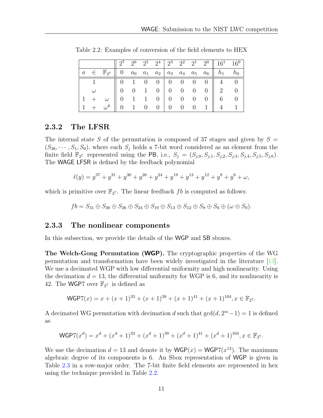|                |                                                                                                                                                                    |  |  |  |  | $\begin{array}{ c c c c c c c c c c } \hline 2^7 & 2^6 & 2^5 & 2^4 & 2^3 & 2^2 & 2^1 & 2^0 & 16^1 & 16^0 & \hline \end{array}$ |  |
|----------------|--------------------------------------------------------------------------------------------------------------------------------------------------------------------|--|--|--|--|--------------------------------------------------------------------------------------------------------------------------------|--|
|                | $a \in \mathbb{F}_{2^7} \parallel 0 \quad a_0 \quad a_1 \quad a_2 \parallel a_3 \quad a_4 \quad a_5 \quad a_6 \parallel h_1 \quad h_0$                             |  |  |  |  |                                                                                                                                |  |
| $\overline{1}$ | $\begin{array}{c cccc cccc} \hline 1 & \quad & 0 & 1 & 0 & 0 & 0 & 0 & 0 & 0 & 4 & 0 \\ \hline \omega & \quad & 0 & 0 & 1 & 0 & 0 & 0 & 0 & 0 & 2 & 0 \end{array}$ |  |  |  |  |                                                                                                                                |  |
|                |                                                                                                                                                                    |  |  |  |  |                                                                                                                                |  |
|                |                                                                                                                                                                    |  |  |  |  |                                                                                                                                |  |
|                |                                                                                                                                                                    |  |  |  |  |                                                                                                                                |  |

<span id="page-10-2"></span>Table 2.2: Examples of conversion of the field elements to HEX

#### <span id="page-10-0"></span>2.3.2 The LFSR

The internal state S of the permutation is composed of 37 stages and given by  $S =$  $(S_{36}, \cdots, S_1, S_0)$ , where each  $S_j$  holds a 7-bit word considered as an element from the finite field  $\mathbb{F}_{2^7}$  represented using the PB, i.e.,  $S_j = (S_{j,0}, S_{j,1}, S_{j,2}, S_{j,3}, S_{j,4}, S_{j,5}, S_{j,6})$ . The WAGE LFSR is defined by the feedback polynomial

$$
\ell(y) = y^{37} + y^{31} + y^{30} + y^{26} + y^{24} + y^{19} + y^{13} + y^{12} + y^8 + y^6 + \omega,
$$

which is primitive over  $\mathbb{F}_{2^7}$ . The linear feedback fb is computed as follows:

 $fb = S_{31} \oplus S_{30} \oplus S_{26} \oplus S_{24} \oplus S_{19} \oplus S_{13} \oplus S_{12} \oplus S_8 \oplus S_6 \oplus (\omega \otimes S_0).$ 

#### <span id="page-10-1"></span>2.3.3 The nonlinear components

In this subsection, we provide the details of the WGP and SB sboxes.

The Welch-Gong Permutation (WGP). The cryptographic properties of the WG permutation and transformation have been widely investigated in the literature [\[13\]](#page-58-4). We use a decimated WGP with low differential uniformity and high nonlinearity. Using the decimation  $d = 13$ , the differential uniformity for WGP is 6, and its nonlinearity is 42. The WGP7 over  $\mathbb{F}_{2^7}$  is defined as

$$
\mathsf{WGP7}(x) = x + (x+1)^{33} + (x+1)^{39} + (x+1)^{41} + (x+1)^{104}, x \in \mathbb{F}_{2^7}.
$$

A decimated WG permutation with decimation d such that  $gcd(d, 2<sup>m</sup> - 1) = 1$  is defined as

$$
\mathsf{WGP7}(x^d) = x^d + (x^d + 1)^{33} + (x^d + 1)^{39} + (x^d + 1)^{41} + (x^d + 1)^{104}, x \in \mathbb{F}_{2^7}.
$$

We use the decimation  $d = 13$  and denote it by  $WGP(x) = WGP(0^13)$ . The maximum algebraic degree of its components is 6. An Sbox representation of WGP is given in Table [2.3](#page-11-1) in a row-major order. The 7-bit finite field elements are represented in hex using the technique provided in Table [2.2.](#page-10-2)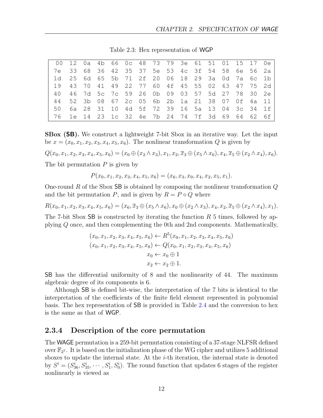<span id="page-11-1"></span>

| 00 12 0a 4b 66 0c 48 73 79 3e 61 51 01 15 17 0el |  |                                                            |  |  |  |  |  |  |
|--------------------------------------------------|--|------------------------------------------------------------|--|--|--|--|--|--|
| 7e 33 68 36 42 35 37 5e 53 4c 3f 54 58 6e 56 2a  |  |                                                            |  |  |  |  |  |  |
|                                                  |  | 1d 25 6d 65 5b 71 2f 20 06 18 29 3a 0d 7a 6c 1b            |  |  |  |  |  |  |
| 19                                               |  | 43 70 41 49 22 77 60 4f 45 55 02 63 47 75 2d               |  |  |  |  |  |  |
| 4 O                                              |  | 46 7d 5c 7c 59 26 0b 09 03 57 5d 27 78 30 2e               |  |  |  |  |  |  |
|                                                  |  | 44 52 3b 08 67 2c 05 6b 2b 1a 21 38 07 0f 4a 11            |  |  |  |  |  |  |
| 50                                               |  | 6a  28  31  10  4d  5f  72  39  16  5a  13  04  3c  34  1f |  |  |  |  |  |  |
|                                                  |  | 76 1e 14 23 1c 32 4e 7b 24 74 7f 3d 69 64 62 6f            |  |  |  |  |  |  |

Table 2.3: Hex representation of WGP

SBox (SB). We construct a lightweight 7-bit Sbox in an iterative way. Let the input be  $x = (x_0, x_1, x_2, x_3, x_4, x_5, x_6)$ . The nonlinear transformation Q is given by

$$
Q(x_0, x_1, x_2, x_3, x_4, x_5, x_6) = (x_0 \oplus (x_2 \wedge x_3), x_1, x_2, \overline{x}_3 \oplus (x_5 \wedge x_6), x_4, \overline{x}_5 \oplus (x_2 \wedge x_4), x_6).
$$

The bit permutation  $P$  is given by

$$
P(x_0, x_1, x_2, x_3, x_4, x_5, x_6) = (x_6, x_3, x_0, x_4, x_2, x_5, x_1).
$$

One-round R of the Sbox  $SB$  is obtained by composing the nonlinear transformation  $Q$ and the bit permutation P, and is given by  $R = P \circ Q$  where

 $R(x_0, x_1, x_2, x_3, x_4, x_5, x_6) = (x_6, \overline{x}_3 \oplus (x_5 \wedge x_6), x_0 \oplus (x_2 \wedge x_3), x_4, x_2, \overline{x}_5 \oplus (x_2 \wedge x_4), x_1).$ 

The 7-bit Sbox SB is constructed by iterating the function  $R_5$  times, followed by applying Q once, and then complementing the 0th and 2nd components. Mathematically,

$$
(x_0, x_1, x_2, x_3, x_4, x_5, x_6) \leftarrow R^5(x_0, x_1, x_2, x_3, x_4, x_5, x_6)
$$
  

$$
(x_0, x_1, x_2, x_3, x_4, x_5, x_6) \leftarrow Q(x_0, x_1, x_2, x_3, x_4, x_5, x_6)
$$
  

$$
x_0 \leftarrow x_0 \oplus 1
$$
  

$$
x_2 \leftarrow x_2 \oplus 1.
$$

SB has the differential uniformity of 8 and the nonlinearity of 44. The maximum algebraic degree of its components is 6.

Although SB is defined bit-wise, the interpretation of the 7 bits is identical to the interpretation of the coefficients of the finite field element represented in polynomial basis. The hex representation of SB is provided in Table [2.4](#page-12-2) and the conversion to hex is the same as that of WGP.

#### <span id="page-11-0"></span>2.3.4 Description of the core permutation

The WAGE permutation is a 259-bit permutation consisting of a 37-stage NLFSR defined over  $\mathbb{F}_{2^7}$ . It is based on the initialization phase of the WG cipher and utilizes 5 additional sboxes to update the internal state. At the  $i$ -th iteration, the internal state is denoted by  $S^i = (S_{36}^i, S_{35}^i, \dots, S_1^i, S_0^i)$ . The round function that updates 6 stages of the register nonlinearly is viewed as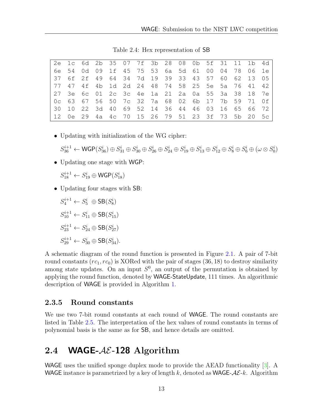<span id="page-12-2"></span>

| 2e 1c 6d 2b 35 07 7f 3b 28 08 0b 5f 31 11 1b 4d    |  |  |  |  |  |  |  |  |
|----------------------------------------------------|--|--|--|--|--|--|--|--|
| 6e 54 0d 09 1f 45 75 53 6a 5d 61 00 04 78 06 1e    |  |  |  |  |  |  |  |  |
| l37 6f 2f 49 64 34 7d 19 39 33 43 57 60 62 13 05   |  |  |  |  |  |  |  |  |
| 77 47 4f 4b 1d 2d 24 48 74 58 25 5e 5a 76 41 42    |  |  |  |  |  |  |  |  |
| 27 3e 6c 01 2c 3c 4e 1a 21 2a 0a 55 3a 38 18 7e    |  |  |  |  |  |  |  |  |
| l0c 63 67 56 50 7c 32 7a 68 02 6b 17 7b 59 71 0fl  |  |  |  |  |  |  |  |  |
| l 30 10 22 3d 40 69 52 14 36 44 46 03 16 65 66 72  |  |  |  |  |  |  |  |  |
| l 12 0e 29 4a 4c 70 15 26 79 51 23 3f 73 5b 20 5cl |  |  |  |  |  |  |  |  |

Table 2.4: Hex representation of SB

• Updating with initialization of the WG cipher:

 $S_{36}^{i+1} \leftarrow \mathsf{WGP}(S_{36}^i) \oplus S_{31}^i \oplus S_{30}^i \oplus S_{26}^i \oplus S_{24}^i \oplus S_{19}^i \oplus S_{13}^i \oplus S_{12}^i \oplus S_8^i \oplus S_6^i \oplus (\omega \otimes S_0^i)$ 

• Updating one stage with WGP:

 $S_{18}^{i+1} \leftarrow S_{19}^i \oplus \mathsf{WGP}(S_{18}^i)$ 

• Updating four stages with SB:

 $S_4^{i+1} \leftarrow S_5^i \oplus SB(S_8^i)$  $S_{10}^{i+1} \leftarrow S_{11}^{i} \oplus SB(S_{15}^{i})$  $S_{23}^{i+1} \leftarrow S_{24}^{i} \oplus SB(S_{27}^{i})$  $S_{29}^{i+1} \leftarrow S_{30}^{i} \oplus \text{SB}(S_{34}^{i}).$ 

A schematic diagram of the round function is presented in Figure [2.1.](#page-13-1) A pair of 7-bit round constants  $(rc_1, rc_0)$  is XORed with the pair of stages  $(36, 18)$  to destroy similarity among state updates. On an input  $S^0$ , an output of the permutation is obtained by applying the round function, denoted by WAGE-StateUpdate, 111 times. An algorithmic description of WAGE is provided in Algorithm [1.](#page-13-2)

#### <span id="page-12-0"></span>2.3.5 Round constants

We use two 7-bit round constants at each round of WAGE. The round constants are listed in Table [2.5.](#page-14-0) The interpretation of the hex values of round constants in terms of polynomial basis is the same as for SB, and hence details are omitted.

## <span id="page-12-1"></span>2.4 WAGE- $AE-128$  Algorithm

WAGE uses the unified sponge duplex mode to provide the AEAD functionality [\[3\]](#page-57-0). A WAGE instance is parametrized by a key of length k, denoted as WAGE- $A\mathcal{E}\text{-}k$ . Algorithm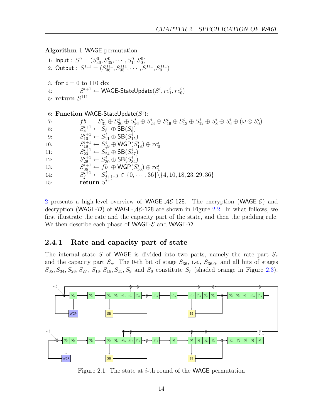```
Algorithm 1 WAGE permutation
```
1: Input :  $S^0 = (S_{36}^0, S_{35}^0, \cdots, S_1^0, S_0^0)$ 2: Output :  $S^{111} = (S_{36}^{111}, S_{35}^{111}, \cdots, S_{1}^{111}, S_{0}^{111})$ 3: for  $i = 0$  to 110 do: 4:  $S^{i+1} \leftarrow \textsf{WAGE-StateUpdate}(S^i, rc^i_1, rc^i_0)$  $5: \; \textbf{return} \; S^{111}$ 6: Function WAGE-StateUpdate $(S<sup>i</sup>)$ : 7:  $f b = S_{31}^i \oplus S_{30}^i \oplus S_{26}^i \oplus S_{24}^i \oplus S_{19}^i \oplus S_{13}^i \oplus S_{12}^i \oplus S_8^i \oplus S_6^i \oplus (\omega \otimes S_0^i)$ 8:  $S_4^{i+1} \leftarrow S_5^i \oplus SB(S_8^i)$ 9:  $S_{10}^{i+1} \leftarrow S_{11}^{i} \oplus SB(S_{15}^{i})$ <br>0:  $S_{18}^{i+1} \leftarrow S_{19}^{i} \oplus WGP(S_{18}^{i}) \oplus rc_{0}^{i}$  $10:$ 11:  $S_{23}^{i+1} \leftarrow S_{24}^{i} \oplus \text{SB}(S_{27}^{i})$ 12:  $S_{29}^{i+1} \leftarrow S_{30}^{i} \oplus \text{SB}(S_{34}^{i})$ 13:  $S_{36}^{i+1} \leftarrow fb \oplus \mathsf{WGP}(S_{36}^i) \oplus rc_1^i$  $14:$  $j_j^{i+1} \leftarrow S_{j+1}^i, j \in \{0, \cdots, 36\} \setminus \{4, 10, 18, 23, 29, 36\}$ 15: return  $\ddot{S^{i+1}}$ 

[2](#page-14-1) presents a high-level overview of **WAGE-** $AE$ **-128**. The encryption (WAGE- $E$ ) and decryption (WAGE- $\mathcal{D}$ ) of WAGE- $\mathcal{A}\mathcal{E}$ -128 are shown in Figure [2.2.](#page-15-1) In what follows, we first illustrate the rate and the capacity part of the state, and then the padding rule. We then describe each phase of WAGE- $\mathcal E$  and WAGE- $\mathcal D$ .

#### <span id="page-13-0"></span>2.4.1 Rate and capacity part of state

The internal state S of WAGE is divided into two parts, namely the rate part  $S_r$ and the capacity part  $S_c$ . The 0-th bit of stage  $S_{36}$ , i.e.,  $S_{36,0}$ , and all bits of stages  $S_{35}, S_{34}, S_{28}, S_{27}, S_{18}, S_{16}, S_{15}, S_9$  and  $S_8$  constitute  $S_r$  (shaded orange in Figure [2.3\)](#page-16-1),

<span id="page-13-1"></span>

Figure 2.1: The state at *i*-th round of the **WAGE** permutation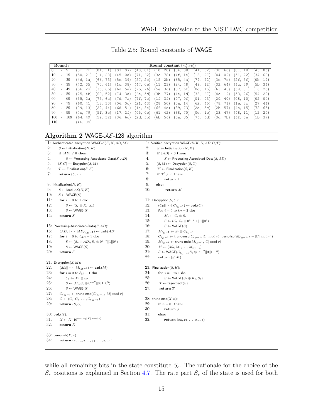Table 2.5: Round constants of WAGE

<span id="page-14-0"></span>

|     |                          | Round i |                       |             |            |                        |                      | Round constant $(rc_1^i, rc_0^i)$ |                       |             |                          |             |
|-----|--------------------------|---------|-----------------------|-------------|------------|------------------------|----------------------|-----------------------------------|-----------------------|-------------|--------------------------|-------------|
|     | $\overline{a}$           | 9       | 3f.<br>7f)            | ΊOf.<br>.f  | 03         | 40,<br>01)             | (10,<br>20)          | 04.<br>08)                        | 02)<br>41.            | 30,<br>60)  | (Oc. 18)                 | (43.<br>06) |
| 10  | $\overline{\phantom{a}}$ | 19      | 21)<br>50.            | 28)<br>(14. | 45.<br>0a  | 71.<br>62)             | 78)<br>(Зс.          | 4f. 1e)                           | Ί3<br>27)             | 09)<br>44.  | $\left(51\right)$<br>22) | 34.<br>68)  |
| 20  | $\overline{\phantom{a}}$ | 29      | 4d.<br>1a)            | 73)<br>66.  | 5c.<br>39) | (57. 2e)               | 115.<br>2b)          | 65.<br>4a)                        | 179.<br>72)           | Зе,<br>7c   | (2f. 5f)                 | (Ob. 17     |
| 30  | $\overline{\phantom{0}}$ | 39      | 05)<br>42.            | (70.<br>61) | 1c.<br>38) | (47. 0e)               | 23)<br>$^{\prime}11$ | (24, 48)                          | 12)<br>49.            | (32.<br>64) | (6c, 59)                 | 5b.<br>36)  |
| 40  | $\overline{\phantom{0}}$ | 49      | 2d)<br>56.            | 35.<br>6b)  | 6d.<br>5a) | 76)<br>7b.             | (5e.<br>3d)          | (37.<br>6f)                       | Od.<br>1 <sub>b</sub> | 63.<br>46)  | 58.<br>31                | (16,<br>2c) |
| 50  | $\overline{\phantom{0}}$ | 59      | 25.<br>4 <sub>b</sub> | 69.<br>52)  | 74.<br>3a) | 6e.<br>5d)             | 77)<br>3b.           | (4e. 1d)                          | '33.<br>67)           | 19)<br>4c.  | 53.<br>26)               | 54.<br>29)  |
| 60  | $\overline{\phantom{a}}$ | -69     | 2a)<br>55.            | (75,<br>6a) | 7d.<br>7a  | 7e)<br>7f.             | (1f.<br>3f)          | 0 f<br>07.                        | (01,<br>03)           | (20,<br>40) | (08, 10)                 | (02.<br>04) |
| 70  | $\overline{\phantom{a}}$ | 79      | 41)<br>60.            | (18,<br>30) | (06, Oc)   | (21.<br>43)            | 50)<br>28.           | (0a. 14)                          | 62.<br>45)            | 178.<br>71) | (1e. 3c)                 | (27,<br>4f) |
| 80  | $\overline{\phantom{a}}$ | 89      | 13)<br>09.            | 22.<br>44)  | 68.<br>51) | 34)<br>1a.             | 66,<br>4d)           | (39, 73)                          | (2e.<br>5c)           | 2b,<br>57)  | 4a, 15)                  | (72,<br>65) |
| 90  | $\overline{\phantom{a}}$ | 99      | 79)<br>7c.            | (5f. 3e)    | 17.<br>2f) | (05. Ob)               | 42)<br>(61.          | (38, 70)                          | Oe.<br>1 <sub>c</sub> | (23.<br>47) | (48, 11)                 | (12, 24)    |
| 100 | $\bar{a}$                | 109     | 49)<br>64.            | (59.<br>32) | 36.<br>6c) | 5 <sub>b</sub><br>(2d. | 56)<br>6b.           | (5a, 35)                          | (76.<br>6d)           | (3d.<br>7b) | (6f. 5e)                 | (1b,<br>37) |
| 110 |                          |         | 46.<br>0d)            |             |            |                        |                      |                                   |                       |             |                          |             |

### <span id="page-14-1"></span>Algorithm 2 WAGE- $AE$ -128 algorithm

|     | 1: Authenticated encryption WAGE- $\mathcal{E}(K, N, AD, M)$ :          |     | 1: Verified decryption WAGE- $\mathcal{D}(K, N, AD, C, T)$ :                                                                |
|-----|-------------------------------------------------------------------------|-----|-----------------------------------------------------------------------------------------------------------------------------|
| 2:  | $S \leftarrow$ Initialization(N, K)                                     | 2:  | $S \leftarrow$ Initialization(N, K)                                                                                         |
| 3:  | if $ AD  \neq 0$ then:                                                  | 3:  | if $ AD  \neq 0$ then:                                                                                                      |
| 4:  | $S \leftarrow$ Processing-Associated-Data $(S, AD)$                     | 4:  | $S \leftarrow$ Processing-Associated-Data $(S, AD)$                                                                         |
| 5.  | $(S, C) \leftarrow$ Encyption $(S, M)$                                  | 5:  | $(S, M) \leftarrow$ Decyption $(S, C)$                                                                                      |
| 6:  | $T \leftarrow$ Finalization(S, K)                                       | 6:  | $T' \leftarrow$ Finalization(S, K)                                                                                          |
| 7:  | return $(C, T)$                                                         | 7:  | if $T' \neq T$ then:                                                                                                        |
|     |                                                                         | 8:  | return $\perp$                                                                                                              |
|     | 8: Initialization $(N, K)$ :                                            | 9:  | else:                                                                                                                       |
| 9:  | $S \leftarrow$ load- $\mathcal{AE}(N, K)$                               | 10: | return $M$                                                                                                                  |
| 10: | $S \leftarrow \mathsf{WAGE}(S)$                                         |     |                                                                                                                             |
| 11: | for $i = 0$ to 1 do:                                                    |     | 11: Decryption $(S, C)$ :                                                                                                   |
| 12: | $S \leftarrow (S_r \oplus K_i, S_c)$                                    | 12: | $(C_0  \cdots  C_{\ell_C-1}) \leftarrow \text{pad}_r(C)$                                                                    |
| 13: | $S \leftarrow \mathsf{WAGE}(S)$                                         | 13: | for $i = 0$ to $\ell_C - 2$ do:                                                                                             |
| 14: | return $S$                                                              | 14: | $M_i \leftarrow C_i \oplus S_r$                                                                                             |
|     |                                                                         | 15: | $S \leftarrow (C_i, S_c \oplus 0^{c-7}  0  1  0^5)$                                                                         |
|     | 15: Processing-Associated-Data $(S, AD)$ :                              | 16: | $S \leftarrow \textsf{WAGE}(S)$                                                                                             |
| 16: | $(AD_0  \cdots  AD_{\ell_{AD}-1}) \leftarrow$ pad <sub>r</sub> $(AD)$   | 17: | $M_{\ell, c-1} \leftarrow S_r \oplus C_{\ell, c-1}$                                                                         |
| 17: | for $i = 0$ to $\ell_{AD} - 1$ do:                                      | 18: | $C_{\ell_C-1} \leftarrow \textsf{trunc-msb}(C_{\ell_C-1},  C  \bmod r)    \textsf{trunc-lsb}(M_{\ell_C-1}, r- C  \bmod r))$ |
| 18: | $S \leftarrow (S_r \oplus AD_i, S_c \oplus 0^{c-7}  1  0^6)$            | 19: | $M_{\ell, c-1} \leftarrow$ trunc-msb $(M_{\ell, c-1},  C  \mod r)$                                                          |
| 19: | $S \leftarrow \mathsf{WAGE}(S)$                                         | 20: | $M \leftarrow (M_0, M_1, \ldots, M_{\ell_C - 1})$                                                                           |
| 20: | return $S$                                                              | 21: | $S \leftarrow \textsf{WAGE}(C_{\ell, c-1}, S_c \oplus 0^{c-7}  0  1  0^5)$                                                  |
|     |                                                                         | 22: | return $(S, M)$                                                                                                             |
|     | 21: Encryption( $S, M$ ):                                               |     |                                                                                                                             |
| 22: | $(M_0  \cdots  M_{\ell_M-1}) \leftarrow \text{pad}_r(M)$                |     | 23: Finalization $(S, K)$ :                                                                                                 |
| 23: | for $i = 0$ to $\ell_M - 1$ do:                                         | 24: | for $i = 0$ to 1 do:                                                                                                        |
| 24: | $C_i \leftarrow M_i \oplus S_r$                                         | 25: | $S \leftarrow \mathsf{WAGE}(S_r \oplus K_i, S_c)$                                                                           |
| 25: | $S \leftarrow (C_i, S_c \oplus 0^{c-7}  0  1  0^5)$                     | 26: | $T \leftarrow$ tagextract(S)                                                                                                |
| 26: | $S \leftarrow \mathsf{WAGE}(S)$                                         | 27: | return $T$                                                                                                                  |
| 27: | $C_{\ell_M-1} \leftarrow \textsf{trunc-msb}(C_{\ell_M-1},  M  \bmod r)$ |     |                                                                                                                             |
| 28: | $C \leftarrow (C_0, C_1, \ldots, C_{\ell_M-1})$                         |     | 28: trunc-msb $(X, n)$ :                                                                                                    |
| 29: | return $(S, C)$                                                         | 29. | if $n = 0$ then:                                                                                                            |
|     |                                                                         | 30: | return $\phi$                                                                                                               |
|     | $30:$ pad <sub>r</sub> $(X)$ :                                          | 31: | else:                                                                                                                       |
| 31: | $X \leftarrow X    10^{r-1-( X  \mod r)}$                               | 32: | <b>return</b> $(x_0, x_1, , x_{n-1})$                                                                                       |
| 32: | return $X$                                                              |     |                                                                                                                             |
|     | 33: trunc-lsb $(X, n)$ :                                                |     |                                                                                                                             |
| 34. | return $(x_{r-n}, x_{r-n+1}, \ldots, x_{r-1})$                          |     |                                                                                                                             |

while all remaining bits in the state constitute  $S_c$ . The rationale for the choice of the  $S_r$  positions is explained in Section [4.7.](#page-25-0) The rate part  $S_r$  of the state is used for both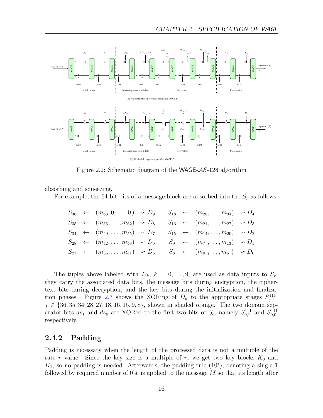<span id="page-15-1"></span>

Figure 2.2: Schematic diagram of the WAGE- $AE$ -128 algorithm

absorbing and squeezing.

For example, the 64-bit bits of a message block are absorbed into the  $S_r$  as follows:

$$
S_{36} \leftarrow (m_{63}, 0, \ldots, 0) \sim D_9 \qquad S_{18} \leftarrow (m_{28}, \ldots, m_{34}) \sim D_4
$$
  
\n
$$
S_{35} \leftarrow (m_{56}, \ldots, m_{62}) \sim D_8 \qquad S_{16} \leftarrow (m_{21}, \ldots, m_{27}) \sim D_3
$$
  
\n
$$
S_{34} \leftarrow (m_{49}, \ldots, m_{55}) \sim D_7 \qquad S_{15} \leftarrow (m_{14}, \ldots, m_{20}) \sim D_2
$$
  
\n
$$
S_{28} \leftarrow (m_{42}, \ldots, m_{48}) \sim D_6 \qquad S_9 \leftarrow (m_7, \ldots, m_{13}) \sim D_1
$$
  
\n
$$
S_{27} \leftarrow (m_{35}, \ldots, m_{41}) \sim D_5 \qquad S_8 \leftarrow (m_0, \ldots, m_6) \sim D_0
$$

The tuples above labeled with  $D_k$ ,  $k = 0, \ldots, 9$ , are used as data inputs to  $S_r$ ; they carry the associated data bits, the message bits during encryption, the ciphertext bits during decryption, and the key bits during the initialization and finaliza-tion phases. Figure [2.3](#page-16-1) shows the XORing of  $D_k$  to the appropriate stages  $S_j^{111}$ ,  $j \in \{36, 35, 34, 28, 27, 18, 16, 15, 9, 8\}$ , shown in shaded orange. The two domain separator bits  $ds_1$  and  $ds_0$  are XORed to the first two bits of  $S_c$ , namely  $S_{0,1}^{111}$  and  $S_{0,0}^{111}$ respectively.

#### <span id="page-15-0"></span>2.4.2 Padding

Padding is necessary when the length of the processed data is not a multiple of the rate r value. Since the key size is a multiple of r, we get two key blocks  $K_0$  and  $K_1$ , so no padding is needed. Afterwards, the padding rule  $(10^*)$ , denoting a single 1 followed by required number of 0's, is applied to the message  $M$  so that its length after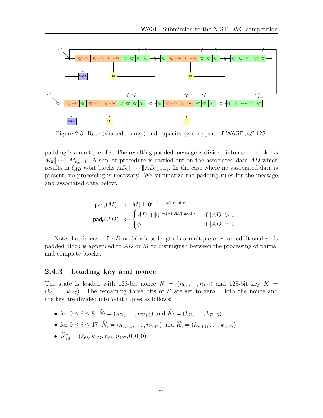<span id="page-16-1"></span>

Figure 2.3: Rate (shaded orange) and capacity (green) part of **WAGE-** $AE$ **-128**.

padding is a multiple of r. The resulting padded message is divided into  $\ell_M$  r-bit blocks  $M_0 \|\cdots \| M_{\ell_M-1}$ . A similar procedure is carried out on the associated data AD which results in  $\ell_{AD}$  r-bit blocks  $AD_0 \|\cdots | AD_{\ell_{AD}-1}$ . In the case where no associated data is present, no processing is necessary. We summarize the padding rules for the message and associated data below.

$$
\begin{aligned}\n\text{pad}_{\mathsf{r}}(M) &\leftarrow M \|1\| 0^{r-1-(|M| \bmod r)} \\
\text{pad}_{\mathsf{r}}(AD) &\leftarrow \begin{cases}\nAD \|1\| 0^{r-1-(|AD| \bmod r)} & \text{if } |AD| > 0 \\
\phi & \text{if } |AD| = 0\n\end{cases}\n\end{aligned}
$$

Note that in case of  $AD$  or M whose length is a multiple of r, an additional r-bit padded block is appended to  $AD$  or M to distinguish between the processing of partial and complete blocks.

#### <span id="page-16-0"></span>2.4.3 Loading key and nonce

The state is loaded with 128-bit nonce  $N = (n_0, \ldots, n_{127})$  and 128-bit key  $K =$  $(k_0, \ldots, k_{127})$ . The remaining three bits of S are set to zero. Both the nonce and the key are divided into 7-bit tuples as follows:

- for  $0 \le i \le 8$ ,  $N_i = (n_{7i}, \ldots, n_{7i+6})$  and  $K_i = (k_{7i}, \ldots, k_{7i+6})$
- for  $9 \le i \le 17$ ,  $\widehat{N}_i = (n_{7i+1}, \ldots, n_{7i+7})$  and  $\widehat{K}_i = (k_{7i+1}, \ldots, k_{7i+7})$
- $K_{18}^* = (k_{63}, k_{127}, n_{63}, n_{127}, 0, 0, 0)$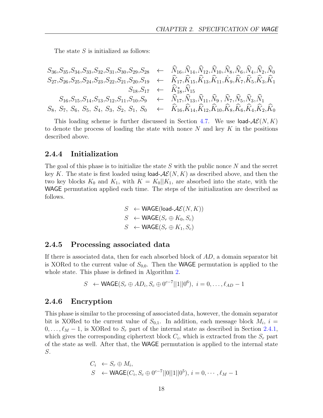The state S is initialized as follows:

$$
S_{36}, S_{35}, S_{34}, S_{33}, S_{32}, S_{31}, S_{30}, S_{29}, S_{28} \leftarrow \tilde{N}_{16}, \tilde{N}_{14}, \tilde{N}_{12}, \tilde{N}_{10}, \tilde{N}_{8}, \tilde{N}_{6}, \tilde{N}_{4}, \tilde{N}_{2}, \tilde{N}_{0}
$$
  
\n
$$
S_{27}, S_{26}, S_{25}, S_{24}, S_{23}, S_{22}, S_{21}, S_{20}, S_{19} \leftarrow \tilde{K}_{17}, \tilde{K}_{15}, \tilde{K}_{13}, \tilde{K}_{11}, \tilde{K}_{9}, \tilde{K}_{7}, \tilde{K}_{5}, \tilde{K}_{3}, \tilde{K}_{1}
$$
  
\n
$$
S_{16}, S_{15}, S_{14}, S_{13}, S_{12}, S_{11}, S_{10}, S_{9} \leftarrow \tilde{N}_{17}, \tilde{N}_{13}, \tilde{N}_{11}, \tilde{N}_{9}, \tilde{N}_{7}, \tilde{N}_{5}, \tilde{N}_{3}, \tilde{N}_{1}
$$
  
\n
$$
S_{8}, S_{7}, S_{6}, S_{5}, S_{4}, S_{3}, S_{2}, S_{1}, S_{0} \leftarrow \tilde{K}_{16}, \tilde{K}_{14}, \tilde{K}_{12}, \tilde{K}_{10}, \tilde{K}_{8}, \tilde{K}_{6}, \tilde{K}_{4}, \tilde{K}_{2}, \tilde{K}_{0}
$$

This loading scheme is further discussed in Section [4.7.](#page-25-0) We use load- $\mathcal{AE}(N, K)$ to denote the process of loading the state with nonce  $N$  and key  $K$  in the positions described above.

#### <span id="page-17-0"></span>2.4.4 Initialization

The goal of this phase is to initialize the state  $S$  with the public nonce  $N$  and the secret key K. The state is first loaded using load- $\mathcal{AE}(N, K)$  as described above, and then the two key blocks  $K_0$  and  $K_1$ , with  $K = K_0||K_1$ , are absorbed into the state, with the WAGE permutation applied each time. The steps of the initialization are described as follows.

$$
S \leftarrow \text{WAGE}(load-\mathcal{A}\mathcal{E}(N, K))
$$
  

$$
S \leftarrow \text{WAGE}(S_r \oplus K_0, S_c)
$$
  

$$
S \leftarrow \text{WAGE}(S_r \oplus K_1, S_c)
$$

#### <span id="page-17-1"></span>2.4.5 Processing associated data

If there is associated data, then for each absorbed block of  $AD$ , a domain separator bit is XORed to the current value of  $S_{0,0}$ . Then the WAGE permutation is applied to the whole state. This phase is defined in Algorithm [2.](#page-14-1)

$$
S \leftarrow \text{WAGE}(S_r \oplus AD_i, S_c \oplus 0^{c-7}||1||0^6), \ i = 0, \dots, \ell_{AD} - 1
$$

#### <span id="page-17-2"></span>2.4.6 Encryption

This phase is similar to the processing of associated data, however, the domain separator bit is XORed to the current value of  $S_{0,1}$ . In addition, each message block  $M_i$ ,  $i =$  $0, \ldots, \ell_M - 1$ , is XORed to  $S_r$  part of the internal state as described in Section [2.4.1,](#page-13-0) which gives the corresponding ciphertext block  $C_i$ , which is extracted from the  $S_r$  part of the state as well. After that, the WAGE permutation is applied to the internal state S.

$$
C_i \leftarrow S_r \oplus M_i,
$$
  
\n $S \leftarrow \text{WAGE}(C_i, S_c \oplus 0^{c-7}||0||1||0^5), i = 0, \cdots, \ell_M - 1$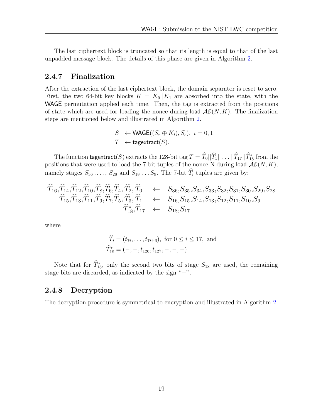The last ciphertext block is truncated so that its length is equal to that of the last unpadded message block. The details of this phase are given in Algorithm [2.](#page-14-1)

#### <span id="page-18-0"></span>2.4.7 Finalization

After the extraction of the last ciphertext block, the domain separator is reset to zero. First, the two 64-bit key blocks  $K = K_0||K_1$  are absorbed into the state, with the WAGE permutation applied each time. Then, the tag is extracted from the positions of state which are used for loading the nonce during load- $\mathcal{AE}(N, K)$ . The finalization steps are mentioned below and illustrated in Algorithm [2.](#page-14-1)

$$
S \leftarrow \text{WAGE}((S_r \oplus K_i), S_c), \ i = 0, 1
$$
  

$$
T \leftarrow \text{tagextract}(S).
$$

The function tagextract(S) extracts the 128-bit tag  $T = T_0||T_1|| \dots ||T_{17}||T_{18}^*$  from the positions that were used to load the 7-bit tuples of the nonce N during load- $A\mathcal{E}(N, K)$ , namely stages  $S_{36}$ ,...,  $S_{28}$  and  $S_{18}$ ... $S_9$ . The 7-bit  $\widehat{T}_i$  tuples are given by:

$$
\begin{array}{cccc}\n\widehat{T}_{16}, & \widehat{T}_{14}, & \widehat{T}_{12}, & \widehat{T}_{10}, & \widehat{T}_{8}, & \widehat{T}_{4}, & \widehat{T}_{2}, & \widehat{T}_{0} & \leftarrow & S_{36}, & S_{35}, & S_{34}, & S_{33}, & S_{32}, & S_{31}, & S_{30}, & S_{29}, & S_{28} \\
& \widehat{T}_{15}, & \widehat{T}_{13}, & \widehat{T}_{11}, & \widehat{T}_{9}, & \widehat{T}_{7}, & \widehat{T}_{5}, & \widehat{T}_{3}, & \widehat{T}_{1} & \leftarrow & S_{16}, & S_{15}, & S_{14}, & S_{13}, & S_{12}, & S_{11}, & S_{10}, & S_{9} \\
& \widehat{T}_{18}^*, & \widehat{T}_{17} & \leftarrow & S_{18}, & S_{17}\n\end{array}
$$

where

$$
\widehat{T}_i = (t_{7i}, \dots, t_{7i+6}), \text{ for } 0 \le i \le 17, \text{ and}
$$
  

$$
\widehat{T}_{18}^* = (-, -, t_{126}, t_{127}, -, -, -).
$$

Note that for  $T_{18}^*$ , only the second two bits of stage  $S_{18}$  are used, the remaining stage bits are discarded, as indicated by the sign "−".

#### <span id="page-18-1"></span>2.4.8 Decryption

The decryption procedure is symmetrical to encryption and illustrated in Algorithm [2.](#page-14-1)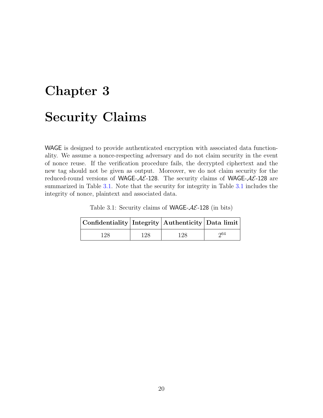# <span id="page-19-0"></span>Chapter 3 Security Claims

WAGE is designed to provide authenticated encryption with associated data functionality. We assume a nonce-respecting adversary and do not claim security in the event of nonce reuse. If the verification procedure fails, the decrypted ciphertext and the new tag should not be given as output. Moreover, we do not claim security for the reduced-round versions of WAGE- $AE-128$ . The security claims of WAGE- $AE-128$  are summarized in Table [3.1.](#page-19-1) Note that the security for integrity in Table [3.1](#page-19-1) includes the integrity of nonce, plaintext and associated data.

Table 3.1: Security claims of WAGE- $AE-128$  (in bits)

<span id="page-19-1"></span>

| $ \text{Confidentiality} $ Integrity   Authenticity   Data limit |     |     |     |  |  |
|------------------------------------------------------------------|-----|-----|-----|--|--|
| 128.                                                             | 128 | 128 | റ64 |  |  |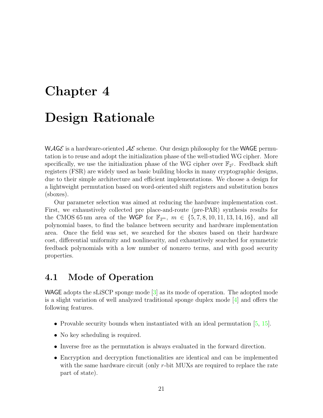# <span id="page-20-0"></span>Chapter 4 Design Rationale

WAGE is a hardware-oriented  $\mathcal{A}\mathcal{E}$  scheme. Our design philosophy for the WAGE permutation is to reuse and adopt the initialization phase of the well-studied WG cipher. More specifically, we use the initialization phase of the WG cipher over  $\mathbb{F}_{2^7}$ . Feedback shift registers (FSR) are widely used as basic building blocks in many cryptographic designs, due to their simple architecture and efficient implementations. We choose a design for a lightweight permutation based on word-oriented shift registers and substitution boxes (sboxes).

Our parameter selection was aimed at reducing the hardware implementation cost. First, we exhaustively collected pre place-and-route (pre-PAR) synthesis results for the CMOS 65 nm area of the WGP for  $\mathbb{F}_{2^m}$ ,  $m \in \{5, 7, 8, 10, 11, 13, 14, 16\}$ , and all polynomial bases, to find the balance between security and hardware implementation area. Once the field was set, we searched for the sboxes based on their hardware cost, differential uniformity and nonlinearity, and exhaustively searched for symmetric feedback polynomials with a low number of nonzero terms, and with good security properties.

## <span id="page-20-1"></span>4.1 Mode of Operation

WAGE adopts the sLiSCP sponge mode [\[3\]](#page-57-0) as its mode of operation. The adopted mode is a slight variation of well analyzed traditional sponge duplex mode  $[4]$  and offers the following features.

- Provable security bounds when instantiated with an ideal permutation [\[5,](#page-57-2) [15\]](#page-58-5).
- No key scheduling is required.
- Inverse free as the permutation is always evaluated in the forward direction.
- Encryption and decryption functionalities are identical and can be implemented with the same hardware circuit (only r-bit MUXs are required to replace the rate part of state).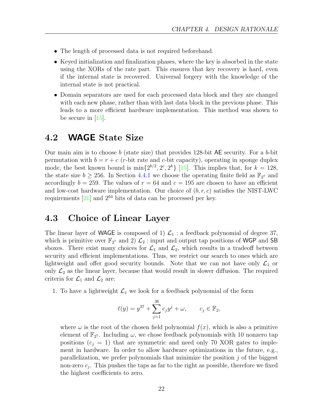- The length of processed data is not required beforehand.
- Keyed initialization and finalization phases, where the key is absorbed in the state using the XORs of the rate part. This ensures that key recovery is hard, even if the internal state is recovered. Universal forgery with the knowledge of the internal state is not practical.
- Domain separators are used for each processed data block and they are changed with each new phase, rather than with last data block in the previous phase. This leads to a more efficient hardware implementation. This method was shown to be secure in  $|15|$ .

## <span id="page-21-0"></span>4.2 WAGE State Size

Our main aim is to choose b (state size) that provides 128-bit AE security. For a b-bit permutation with  $b = r + c$  (*r*-bit rate and *c*-bit capacity), operating in sponge duplex mode, the best known bound is  $\min\{2^{b/2}, 2^c, 2^k\}$  [\[15\]](#page-58-5). This implies that, for  $k = 128$ , the state size  $b \ge 256$ . In Section [4.4.1](#page-22-1) we choose the operating finite field as  $\mathbb{F}_{2^7}$  and accordingly  $b = 259$ . The values of  $r = 64$  and  $c = 195$  are chosen to have an efficient and low-cost hardware implementation. Our choice of  $(b, r, c)$  satisfies the NIST-LWC requirements  $[21]$  and  $2^{64}$  bits of data can be processed per key.

## <span id="page-21-1"></span>4.3 Choice of Linear Layer

The linear layer of WAGE is composed of 1)  $\mathcal{L}_1$  : a feedback polynomial of degree 37, which is primitive over  $\mathbb{F}_{2^7}$  and 2)  $\mathcal{L}_2$ : input and output tap positions of WGP and SB sboxes. There exist many choices for  $\mathcal{L}_1$  and  $\mathcal{L}_2$ , which results in a tradeoff between security and efficient implementations. Thus, we restrict our search to ones which are lightweight and offer good security bounds. Note that we can not have only  $\mathcal{L}_1$  or only  $\mathcal{L}_2$  as the linear layer, because that would result in slower diffusion. The required criteria for  $\mathcal{L}_1$  and  $\mathcal{L}_2$  are:

1. To have a lightweight  $\mathcal{L}_1$  we look for a feedback polynomial of the form

$$
\ell(y) = y^{37} + \sum_{j=1}^{36} c_j y^j + \omega, \qquad c_j \in \mathbb{F}_2,
$$

where  $\omega$  is the root of the chosen field polynomial  $f(x)$ , which is also a primitive element of  $\mathbb{F}_{2^7}$ . Including  $\omega$ , we chose feedback polynomials with 10 nonzero tap positions  $(c_j = 1)$  that are symmetric and need only 70 XOR gates to implement in hardware. In order to allow hardware optimizations in the future, e.g., parallelization, we prefer polynomials that minimize the position  $j$  of the biggest non-zero  $c_j$ . This pushes the taps as far to the right as possible, therefore we fixed the highest coefficients to zero.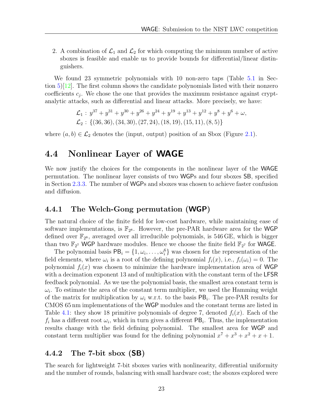2. A combination of  $\mathcal{L}_1$  and  $\mathcal{L}_2$  for which computing the minimum number of active sboxes is feasible and enable us to provide bounds for differential/linear distinguishers.

We found 23 symmetric polynomials with 10 non-zero taps (Table [5.1](#page-29-1) in Section  $5\frac{12}{12}$ . The first column shows the candidate polynomials listed with their nonzero coefficients  $c_j$ . We chose the one that provides the maximum resistance against cryptanalytic attacks, such as differential and linear attacks. More precisely, we have:

$$
\mathcal{L}_1: y^{37} + y^{31} + y^{30} + y^{26} + y^{24} + y^{19} + y^{13} + y^{12} + y^8 + y^6 + \omega,
$$
  

$$
\mathcal{L}_2: \{(36, 36), (34, 30), (27, 24), (18, 19), (15, 11), (8, 5)\}
$$

where  $(a, b) \in \mathcal{L}_2$  denotes the (input, output) position of an Sbox (Figure [2.1\)](#page-13-1).

### <span id="page-22-0"></span>4.4 Nonlinear Layer of WAGE

We now justify the choices for the components in the nonlinear layer of the WAGE permutation. The nonlinear layer consists of two WGPs and four sboxes SB, specified in Section [2.3.3.](#page-10-1) The number of WGPs and sboxes was chosen to achieve faster confusion and diffusion.

#### <span id="page-22-1"></span>4.4.1 The Welch-Gong permutation (WGP)

The natural choice of the finite field for low-cost hardware, while maintaining ease of software implementations, is  $\mathbb{F}_{2^8}$ . However, the pre-PAR hardware area for the WGP defined over  $\mathbb{F}_{2^8}$ , averaged over all irreducible polynomials, is 546 GE, which is bigger than two  $\mathbb{F}_{27}$  WGP hardware modules. Hence we choose the finite field  $\mathbb{F}_{27}$  for WAGE.

The polynomial basis  $PB_i = \{1, \omega_i, \ldots, \omega_i^6\}$  was chosen for the representation of the field elements, where  $\omega_i$  is a root of the defining polynomial  $f_i(x)$ , i.e.,  $f_i(\omega_i) = 0$ . The polynomial  $f_i(x)$  was chosen to minimize the hardware implementation area of WGP with a decimation exponent 13 and of multiplication with the constant term of the LFSR feedback polynomial. As we use the polynomial basis, the smallest area constant term is  $\omega_i$ . To estimate the area of the constant term multiplier, we used the Hamming weight of the matrix for multiplication by  $\omega_i$  w.r.t. to the basis  $PB_i$ . The pre-PAR results for CMOS 65 nm implementations of the WGP modules and the constant terms are listed in Table [4.1:](#page-23-1) they show 18 primitive polynomials of degree 7, denoted  $f_i(x)$ . Each of the  $f_i$  has a different root  $\omega_i$ , which in turn gives a different PB<sub>i</sub>. Thus, the implementation results change with the field defining polynomial. The smallest area for WGP and constant term multiplier was found for the defining polynomial  $x^7 + x^3 + x^2 + x + 1$ .

#### <span id="page-22-2"></span>4.4.2 The 7-bit sbox (SB)

The search for lightweight 7-bit sboxes varies with nonlinearity, differential uniformity and the number of rounds, balancing with small hardware cost; the sboxes explored were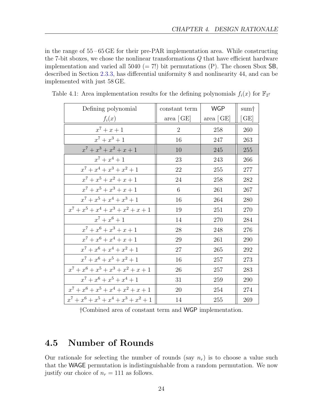in the range of 55 – 65 GE for their pre-PAR implementation area. While constructing the 7-bit sboxes, we chose the nonlinear transformations Q that have efficient hardware implementation and varied all  $5040 (= 7!)$  bit permutations (P). The chosen Sbox SB, described in Section [2.3.3,](#page-10-1) has differential uniformity 8 and nonlinearity 44, and can be implemented with just 58 GE.

| Defining polynomial                     | constant term  | <b>WGP</b> | sum†  |
|-----------------------------------------|----------------|------------|-------|
| $f_i(x)$                                | area $ GE $    | area   GE  | [ GE] |
| $x^7 + x + 1$                           | $\overline{2}$ | 258        | 260   |
| $x^7 + x^3 + 1$                         | 16             | 247        | 263   |
| $x^7 + x^3 + x^2 + x + 1$               | 10             | 245        | 255   |
| $x^7 + x^4 + 1$                         | 23             | 243        | 266   |
| $x^7 + x^4 + x^3 + x^2 + 1$             | 22             | 255        | 277   |
| $x^7 + x^5 + x^2 + x + 1$               | 24             | 258        | 282   |
| $x^7 + x^5 + x^3 + x + 1$               | 6              | $261\,$    | 267   |
| $x^7 + x^5 + x^4 + x^3 + 1$             | 16             | 264        | 280   |
| $x^7 + x^5 + x^4 + x^3 + x^2 + x + 1$   | 19             | 251        | 270   |
| $x^7 + x^6 + 1$                         | 14             | 270        | 284   |
| $x^7 + x^6 + x^3 + x + 1$               | 28             | 248        | 276   |
| $x^7 + x^6 + x^4 + x + 1$               | 29             | 261        | 290   |
| $x^7 + x^6 + x^4 + x^2 + 1$             | 27             | 265        | 292   |
| $x^7 + x^6 + x^5 + x^2 + 1$             | 16             | 257        | 273   |
| $x^7 + x^6 + x^5 + x^3 + x^2 + x + 1$   | 26             | 257        | 283   |
| $x^7 + x^6 + x^5 + x^4 + 1$             | 31             | 259        | 290   |
| $x^7 + x^6 + x^5 + x^4 + x^2 + x + 1$   | 20             | 254        | 274   |
| $x^7 + x^6 + x^5 + x^4 + x^3 + x^2 + 1$ | 14             | 255        | 269   |

<span id="page-23-1"></span>Table 4.1: Area implementation results for the defining polynomials  $f_i(x)$  for  $\mathbb{F}_{2^7}$ 

†Combined area of constant term and WGP implementation.

## <span id="page-23-0"></span>4.5 Number of Rounds

Our rationale for selecting the number of rounds (say  $n_r$ ) is to choose a value such that the WAGE permutation is indistinguishable from a random permutation. We now justify our choice of  $n_r = 111$  as follows.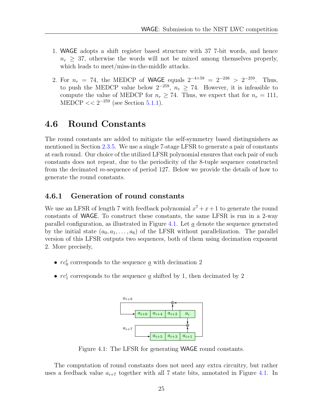- 1. WAGE adopts a shift register based structure with 37 7-bit words, and hence  $n_r \geq 37$ , otherwise the words will not be mixed among themselves properly, which leads to meet/miss-in-the-middle attacks.
- 2. For  $n_r = 74$ , the MEDCP of WAGE equals  $2^{-4 \times 59} = 2^{-236} > 2^{-259}$ . Thus, to push the MEDCP value below  $2^{-259}$ ,  $n_r \geq 74$ . However, it is infeasible to compute the value of MEDCP for  $n_r \geq 74$ . Thus, we expect that for  $n_r = 111$ , MEDCP  $<< 2^{-259}$  (see Section [5.1.1\)](#page-28-2).

## <span id="page-24-0"></span>4.6 Round Constants

The round constants are added to mitigate the self-symmetry based distinguishers as mentioned in Section [2.3.5.](#page-12-0) We use a single 7-stage LFSR to generate a pair of constants at each round. Our choice of the utilized LFSR polynomial ensures that each pair of such constants does not repeat, due to the periodicity of the 8-tuple sequence constructed from the decimated m-sequence of period 127. Below we provide the details of how to generate the round constants.

#### <span id="page-24-1"></span>4.6.1 Generation of round constants

We use an LFSR of length 7 with feedback polynomial  $x^7 + x + 1$  to generate the round constants of WAGE. To construct these constants, the same LFSR is run in a 2-way parallel configuration, as illustrated in Figure [4.1.](#page-24-2) Let a denote the sequence generated by the initial state  $(a_0, a_1, \ldots, a_6)$  of the LFSR without parallelization. The parallel version of this LFSR outputs two sequences, both of them using decimation exponent 2. More precisely,

- $rc_0^i$  corresponds to the sequence <u> $a$ </u> with decimation 2
- <span id="page-24-2"></span>•  $rc_1^i$  corresponds to the sequence  $\underline{a}$  shifted by 1, then decimated by 2



Figure 4.1: The LFSR for generating WAGE round constants.

The computation of round constants does not need any extra circuitry, but rather uses a feedback value  $a_{i+7}$  together with all 7 state bits, annotated in Figure [4.1.](#page-24-2) In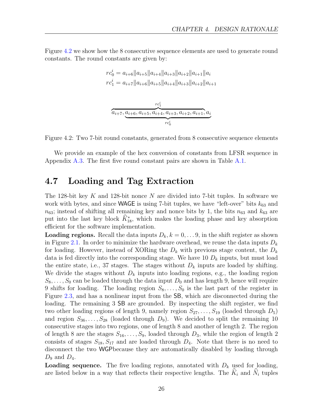Figure [4.2](#page-25-1) we show how the 8 consecutive sequence elements are used to generate round constants. The round constants are given by:

$$
rc_0^i = a_{i+6} ||a_{i+5}||a_{i+4}||a_{i+3}||a_{i+2}||a_{i+1}||a_i
$$
  

$$
rc_1^i = a_{i+7} ||a_{i+6}||a_{i+5}||a_{i+4}||a_{i+3}||a_{i+2}||a_{i+1}
$$

$$
\overbrace{a_{i+7}, a_{i+6}, a_{i+5}, a_{i+4}, a_{i+3}, a_{i+2}, a_{i+1}, a_i}^{rc_1^{i}}
$$

<span id="page-25-1"></span>Figure 4.2: Two 7-bit round constants, generated from 8 consecutive sequence elements

We provide an example of the hex conversion of constants from LFSR sequence in Appendix [A.3.](#page-61-0) The first five round constant pairs are shown in Table [A.1.](#page-61-1)

## <span id="page-25-0"></span>4.7 Loading and Tag Extraction

The 128-bit key K and 128-bit nonce N are divided into 7-bit tuples. In software we work with bytes, and since WAGE is using 7-bit tuples, we have "left-over" bits  $k_{63}$  and  $n_{63}$ ; instead of shifting all remaining key and nonce bits by 1, the bits  $n_{63}$  and  $k_{63}$  are put into the last key block  $K_{18}^*$ , which makes the loading phase and key absorption efficient for the software implementation.

**Loading regions.** Recall the data inputs  $D_k, k = 0, \ldots, 9$ , in the shift register as shown in Figure [2.1.](#page-13-1) In order to minimize the hardware overhead, we reuse the data inputs  $D_k$ for loading. However, instead of XORing the  $D_k$  with previous stage content, the  $D_k$ data is fed directly into the corresponding stage. We have 10  $D_k$  inputs, but must load the entire state, i.e., 37 stages. The stages without  $D_k$  inputs are loaded by shifting. We divide the stages without  $D_k$  inputs into loading regions, e.g., the loading region  $S_8, \ldots, S_0$  can be loaded through the data input  $D_0$  and has length 9, hence will require 9 shifts for loading. The loading region  $S_8, \ldots, S_0$  is the last part of the register in Figure [2.3,](#page-16-1) and has a nonlinear input from the SB, which are disconnected during the loading. The remaining 3 SB are grounded. By inspecting the shift register, we find two other loading regions of length 9, namely region  $S_{27}, \ldots, S_{19}$  (loaded through  $D_5$ ) and region  $S_{36}, \ldots, S_{28}$  (loaded through  $D_9$ ). We decided to split the remaining 10 consecutive stages into two regions, one of length 8 and another of length 2. The region of length 8 are the stages  $S_{16}, \ldots, S_9$ , loaded through  $D_3$ , while the region of length 2 consists of stages  $S_{18}, S_{17}$  and are loaded through  $D_4$ . Note that there is no need to disconnect the two WGPbecause they are automatically disabled by loading through  $D_9$  and  $D_4$ .

**Loading sequence.** The five loading regions, annotated with  $D_k$  used for loading, are listed below in a way that reflects their respective lengths. The  $K_i$  and  $\tilde{N}_i$  tuples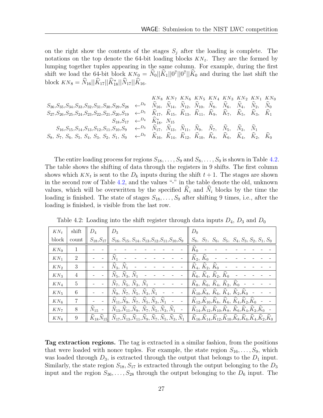on the right show the contents of the stages  $S_j$  after the loading is complete. The notations on the top denote the 64-bit loading blocks  $KN_t$ . They are the formed by lumping together tuples appearing in the same column. For example, during the first shift we load the 64-bit block  $KN_0 = N_0||K_1||0^7||K_0$  and during the last shift the block  $KN_8 = N_{16}||K_{17}||K_{18}^*||N_{17}||K_{16}.$ 

$$
K_{N_8} K_{N_7} K_{N_6} K_{N_5} K_{N_4} K_{N_3} K_{N_2} K_{N_1} K_{N_0}
$$
\n
$$
S_{36, S_{35}, S_{34}, S_{33}, S_{32}, S_{31}, S_{30}, S_{29}, S_{28} \leftarrow D_9 \widehat{N}_{16}, \widehat{N}_{14}, \widehat{N}_{12}, \widehat{N}_{10}, \widehat{N}_8, \widehat{N}_6, \widehat{N}_4, \widehat{N}_2, \widehat{N}_0
$$
\n
$$
S_{27}, S_{26}, S_{25}, S_{24}, S_{23}, S_{22}, S_{21}, S_{20}, S_{19} \leftarrow D_5 \widehat{K}_{17}, \widehat{K}_{15}, \widehat{K}_{13}, \widehat{K}_{11}, \widehat{K}_9, \widehat{K}_7, \widehat{K}_5, \widehat{K}_3, \widehat{K}_1
$$
\n
$$
S_{16}, S_{15}, S_{14}, S_{13}, S_{12}, S_{11}, S_{10}, S_9 \leftarrow D_3 \widehat{N}_{17}, \widehat{N}_{13}, \widehat{N}_{11}, \widehat{N}_9, \widehat{N}_7, \widehat{N}_5, \widehat{N}_3, \widehat{N}_1
$$
\n
$$
S_8, S_7, S_6, S_5, S_4, S_3, S_2, S_1, S_0 \leftarrow D_0 \widehat{K}_{16}, \widehat{K}_{14}, \widehat{K}_{12}, \widehat{K}_{10}, \widehat{K}_8, \widehat{K}_6, \widehat{K}_4, \widehat{K}_2, \widehat{K}_0
$$

The entire loading process for regions  $S_{18}, \ldots, S_9$  and  $S_8, \ldots, S_9$  is shown in Table [4.2.](#page-26-0) The table shows the shifting of data through the registers in 9 shifts. The first column shows which  $KN_t$  is sent to the  $D_k$  inputs during the shift  $t+1$ . The stages are shown in the second row of Table [4.2,](#page-26-0) and the values "-" in the table denote the old, unknown values, which will be overwritten by the specified  $\widehat{K}_i$  and  $\widehat{N}_i$  blocks by the time the loading is finished. The state of stages  $S_{18}, \ldots, S_0$  after shifting 9 times, i.e., after the loading is finished, is visible from the last row.

| $KN_t$          | shift | $D_{4}$          | $D_3$<br>$D_0$                                                                                                                                                                                                       |
|-----------------|-------|------------------|----------------------------------------------------------------------------------------------------------------------------------------------------------------------------------------------------------------------|
| block           | count | $S_{18}, S_{17}$ | $S_8$ , $S_7$ , $S_6$ , $S_5$ , $S_4$ , $S_3$ , $S_2$ , $S_1$ , $S_0$<br>$S_{16}, S_{15}, S_{14}, S_{13}, S_{12}, S_{11}, S_{10}, S_9$                                                                               |
| $KN_0$          |       |                  |                                                                                                                                                                                                                      |
| $KN_1$          | 2     |                  | $\widehat{N}_1$<br>$\widehat{K}_2, \widehat{K}_0$                                                                                                                                                                    |
| KN <sub>2</sub> | 3     |                  | $\widehat{N}_3, \widehat{N}_1$<br>$\hat{K}_4, \hat{K}_2, \hat{K}_0$                                                                                                                                                  |
| $KN_3$          | 4     |                  | $\widehat{N}_5$ , $\widehat{N}_3$ , $\widehat{N}_1$<br>$\hat{K}_6, \hat{K}_4, \hat{K}_2, \hat{K}_0$                                                                                                                  |
| $KN_4$          | 5     |                  | $\widehat{N}_7$ , $\widehat{N}_5$ , $\widehat{N}_3$ , $\widehat{N}_1$<br>$K_8, K_6, K_4, K_2, K_0$ -                                                                                                                 |
| $KN_5$          | 6     |                  | $\widehat{N}_9$ , $\widehat{N}_7$ , $\widehat{N}_5$ , $\widehat{N}_3$ , $\widehat{N}_1$<br>$\hat{K}_{10}, \hat{K}_8, \hat{K}_6, \hat{K}_4, \hat{K}_2, \hat{K}_0$ -                                                   |
| KN <sub>6</sub> | 7     |                  | $\hat{N}_{11}, \hat{N}_{9}, \hat{N}_{7}, \hat{N}_{5}, \hat{N}_{3}, \hat{N}_{1}$<br>$\hat{K}_{12}, \hat{K}_{10}, \hat{K}_8, \hat{K}_6, \hat{K}_4, \hat{K}_2, \hat{K}_0$ -                                             |
| KN <sub>7</sub> | 8     | $N_{15}$ -       | $\hat{N}_{13}, \hat{N}_{11}, \hat{N}_9, \ \hat{N}_7, \hat{N}_5, \hat{N}_3, \hat{N}_1$<br>$\hat{K}_{14}, \hat{K}_{12}, \hat{K}_{10}, \hat{K}_8, K_6, K_4, K_2, K_0$                                                   |
| $KN_8$          | 9     | $K_{18}N_{15}$   | $\hat{N}_{17}, \hat{N}_{13}, \hat{N}_{11}, \hat{N}_9, \hat{N}_7, \hat{N}_5, \hat{N}_3, \hat{N}_1$<br>$\hat{K}_{16}, \hat{K}_{14}, \hat{K}_{12}, \hat{K}_{10}, \hat{K}_8, \hat{K}_6, \hat{K}_4, \hat{K}_2, \hat{K}_0$ |

<span id="page-26-0"></span>Table 4.2: Loading into the shift register through data inputs  $D_4$ ,  $D_3$  and  $D_0$ 

Tag extraction regions. The tag is extracted in a similar fashion, from the positions that were loaded with nonce tuples. For example, the state region  $S_{16}, \ldots, S_9$ , which was loaded through  $D_3$ , is extracted through the output that belongs to the  $D_1$  input. Similarly, the state region  $S_{18}, S_{17}$  is extracted through the output belonging to the  $D_3$ input and the region  $S_{36}, \ldots, S_{28}$  through the output belonging to the  $D_6$  input. The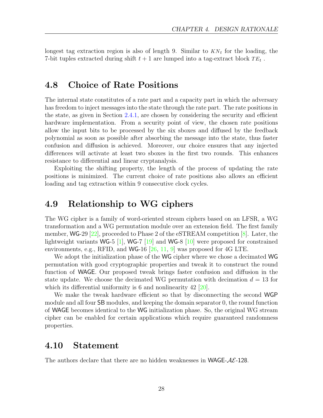longest tag extraction region is also of length 9. Similar to  $KN_t$  for the loading, the 7-bit tuples extracted during shift  $t + 1$  are lumped into a tag-extract block  $TE_t$ .

## <span id="page-27-0"></span>4.8 Choice of Rate Positions

The internal state constitutes of a rate part and a capacity part in which the adversary has freedom to inject messages into the state through the rate part. The rate positions in the state, as given in Section [2.4.1,](#page-13-0) are chosen by considering the security and efficient hardware implementation. From a security point of view, the chosen rate positions allow the input bits to be processed by the six sboxes and diffused by the feedback polynomial as soon as possible after absorbing the message into the state, thus faster confusion and diffusion is achieved. Moreover, our choice ensures that any injected differences will activate at least two sboxes in the first two rounds. This enhances resistance to differential and linear cryptanalysis.

Exploiting the shifting property, the length of the process of updating the rate positions is minimized. The current choice of rate positions also allows an efficient loading and tag extraction within 9 consecutive clock cycles.

### <span id="page-27-1"></span>4.9 Relationship to WG ciphers

The WG cipher is a family of word-oriented stream ciphers based on an LFSR, a WG transformation and a WG permutation module over an extension field. The first family member,  $\text{WG-29}$  [\[22\]](#page-58-0), proceeded to Phase 2 of the eSTREAM competition [\[8\]](#page-57-3). Later, the lightweight variants WG-5 [\[1\]](#page-57-4), WG-7 [\[19\]](#page-58-8) and WG-8 [\[10\]](#page-57-5) were proposed for constrained environments, e.g., RFID, and WG-16  $[26, 11, 9]$  $[26, 11, 9]$  $[26, 11, 9]$  $[26, 11, 9]$  $[26, 11, 9]$  was proposed for 4G LTE.

We adopt the initialization phase of the WG cipher where we chose a decimated WG permutation with good cryptographic properties and tweak it to construct the round function of WAGE. Our proposed tweak brings faster confusion and diffusion in the state update. We choose the decimated WG permutation with decimation  $d = 13$  for which its differential uniformity is 6 and nonlinearity  $42$  [ $20$ ].

We make the tweak hardware efficient so that by disconnecting the second WGP module and all four SB modules, and keeping the domain separator 0, the round function of WAGE becomes identical to the WG initialization phase. So, the original WG stream cipher can be enabled for certain applications which require guaranteed randomness properties.

### <span id="page-27-2"></span>4.10 Statement

The authors declare that there are no hidden weaknesses in WAGE- $A\mathcal{E}$ -128.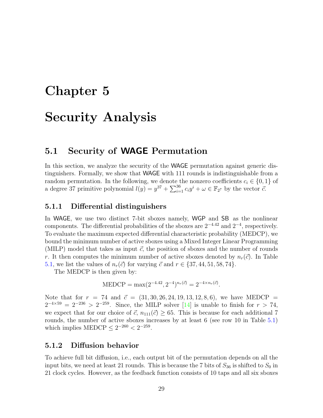# <span id="page-28-0"></span>Chapter 5 Security Analysis

### <span id="page-28-1"></span>5.1 Security of WAGE Permutation

In this section, we analyze the security of the WAGE permutation against generic distinguishers. Formally, we show that WAGE with 111 rounds is indistinguishable from a random permutation. In the following, we denote the nonzero coefficients  $c_i \in \{0, 1\}$  of a degree 37 primitive polynomial  $l(y) = y^{37} + \sum_{i=1}^{36} c_i y^i + \omega \in \mathbb{F}_{2^7}$  by the vector  $\vec{c}$ .

#### <span id="page-28-2"></span>5.1.1 Differential distinguishers

In WAGE, we use two distinct 7-bit sboxes namely, WGP and SB as the nonlinear components. The differential probabilities of the sboxes are  $2^{-4.42}$  and  $2^{-4}$ , respectively. To evaluate the maximum expected differential characteristic probability (MEDCP), we bound the minimum number of active sboxes using a Mixed Integer Linear Programming (MILP) model that takes as input  $\vec{c}$ , the position of sboxes and the number of rounds r. It then computes the minimum number of active sboxes denoted by  $n_r(\vec{c})$ . In Table [5.1,](#page-29-1) we list the values of  $n_r(\vec{c})$  for varying  $\vec{c}$  and  $r \in \{37, 44, 51, 58, 74\}.$ 

The MEDCP is then given by:

$$
MEDCP = \max(2^{-4.42}, 2^{-4})^{n_r(\vec{c})} = 2^{-4 \times n_r(\vec{c})}.
$$

Note that for  $r = 74$  and  $\vec{c} = (31, 30, 26, 24, 19, 13, 12, 8, 6)$ , we have MEDCP =  $2^{-4\times59} = 2^{-236} > 2^{-259}$ . Since, the MILP solver [\[14\]](#page-58-3) is unable to finish for  $r > 74$ , we expect that for our choice of  $\vec{c}$ ,  $n_{111}(\vec{c}) \geq 65$ . This is because for each additional 7 rounds, the number of active sboxes increases by at least 6 (see row 10 in Table [5.1\)](#page-29-1) which implies MEDCP  $\leq 2^{-260} < 2^{-259}$ .

#### <span id="page-28-3"></span>5.1.2 Diffusion behavior

To achieve full bit diffusion, i.e., each output bit of the permutation depends on all the input bits, we need at least 21 rounds. This is because the 7 bits of  $S_{36}$  is shifted to  $S_0$  in 21 clock cycles. However, as the feedback function consists of 10 taps and all six sboxes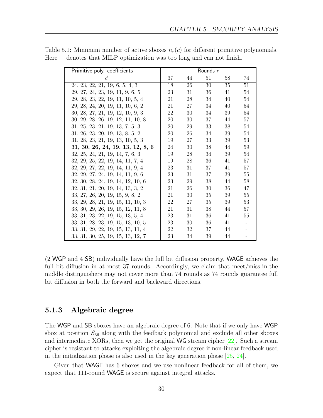| Primitive poly. coefficients      |    |    | Rounds $r$ |                 |    |
|-----------------------------------|----|----|------------|-----------------|----|
| $\vec{c}$                         | 37 | 44 | 51         | 58              | 74 |
| 24, 23, 22, 21, 19, 6, 5, 4, 3    | 18 | 26 | 30         | $\overline{35}$ | 51 |
| 29, 27, 24, 23, 19, 11, 9, 6, 5   | 23 | 31 | 36         | 41              | 54 |
| 29, 28, 23, 22, 19, 11, 10, 5, 4  | 21 | 28 | 34         | 40              | 54 |
| 29, 28, 24, 20, 19, 11, 10, 6, 2  | 21 | 27 | 34         | 40              | 54 |
| 30, 28, 27, 21, 19, 12, 10, 9, 3  | 22 | 30 | 34         | 39              | 54 |
| 30, 29, 28, 26, 19, 12, 11, 10, 8 | 20 | 30 | 37         | 44              | 57 |
| 31, 25, 23, 21, 19, 13, 7, 5, 3   | 20 | 29 | 33         | 38              | 54 |
| 31, 26, 23, 20, 19, 13, 8, 5, 2   | 20 | 26 | 34         | 39              | 54 |
| 31, 28, 23, 21, 19, 13, 10, 5, 3  | 19 | 27 | 33         | 39              | 53 |
| 31, 30, 26, 24, 19, 13, 12, 8, 6  | 24 | 30 | 38         | 44              | 59 |
| 32, 25, 24, 21, 19, 14, 7, 6, 3   | 19 | 28 | 34         | 39              | 54 |
| 32, 29, 25, 22, 19, 14, 11, 7, 4  | 19 | 28 | 36         | 41              | 57 |
| 32, 29, 27, 22, 19, 14, 11, 9, 4  | 23 | 31 | 37         | 41              | 57 |
| 32, 29, 27, 24, 19, 14, 11, 9, 6  | 23 | 31 | 37         | 39              | 55 |
| 32, 30, 28, 24, 19, 14, 12, 10, 6 | 23 | 29 | 38         | 44              | 58 |
| 32, 31, 21, 20, 19, 14, 13, 3, 2  | 21 | 26 | 30         | 36              | 47 |
| 33, 27, 26, 20, 19, 15, 9, 8, 2   | 21 | 30 | 35         | 39              | 55 |
| 33, 29, 28, 21, 19, 15, 11, 10, 3 | 22 | 27 | 35         | 39              | 53 |
| 33, 30, 29, 26, 19, 15, 12, 11, 8 | 21 | 31 | 38         | 44              | 57 |
| 33, 31, 23, 22, 19, 15, 13, 5, 4  | 23 | 31 | 36         | 41              | 55 |
| 33, 31, 28, 23, 19, 15, 13, 10, 5 | 23 | 30 | 36         | 41              |    |
| 33, 31, 29, 22, 19, 15, 13, 11, 4 | 22 | 32 | 37         | 44              |    |
| 33, 31, 30, 25, 19, 15, 13, 12, 7 | 23 | 34 | 39         | 44              |    |

<span id="page-29-1"></span>Table 5.1: Minimum number of active sboxes  $n_r(\vec{c})$  for different primitive polynomials. Here − denotes that MILP optimization was too long and can not finish.

(2 WGP and 4 SB) individually have the full bit diffusion property, WAGE achieves the full bit diffusion in at most 37 rounds. Accordingly, we claim that meet/miss-in-the middle distinguishers may not cover more than 74 rounds as 74 rounds guarantee full bit diffusion in both the forward and backward directions.

#### <span id="page-29-0"></span>5.1.3 Algebraic degree

The WGP and SB sboxes have an algebraic degree of 6. Note that if we only have WGP sbox at position  $S_{36}$  along with the feedback polynomial and exclude all other sboxes and intermediate XORs, then we get the original WG stream cipher [\[22\]](#page-58-0). Such a stream cipher is resistant to attacks exploiting the algebraic degree if non-linear feedback used in the initialization phase is also used in the key generation phase [\[25,](#page-59-1) [24\]](#page-58-11).

Given that WAGE has 6 sboxes and we use nonlinear feedback for all of them, we expect that 111-round WAGE is secure against integral attacks.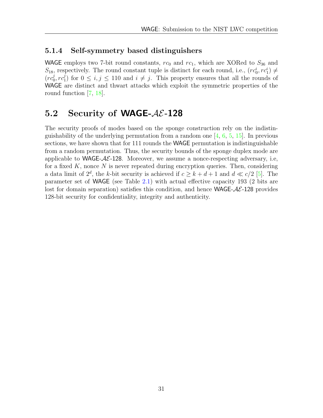#### <span id="page-30-0"></span>5.1.4 Self-symmetry based distinguishers

WAGE employs two 7-bit round constants,  $rc_0$  and  $rc_1$ , which are XORed to  $S_{36}$  and  $S_{18}$ , respectively. The round constant tuple is distinct for each round, i.e.,  $(r c_0^i, r c_1^i) \neq$  $(r c_0^j)$  $_{0}^{j},rc_{1}^{j}$  $j_1$  for  $0 \le i, j \le 110$  and  $i \ne j$ . This property ensures that all the rounds of WAGE are distinct and thwart attacks which exploit the symmetric properties of the round function [\[7,](#page-57-7) [18\]](#page-58-12).

## <span id="page-30-1"></span>5.2 Security of **WAGE-** $A\mathcal{E}$ -128

The security proofs of modes based on the sponge construction rely on the indistinguishability of the underlying permutation from a random one  $[4, 6, 5, 15]$  $[4, 6, 5, 15]$  $[4, 6, 5, 15]$  $[4, 6, 5, 15]$  $[4, 6, 5, 15]$  $[4, 6, 5, 15]$  $[4, 6, 5, 15]$ . In previous sections, we have shown that for 111 rounds the WAGE permutation is indistinguishable from a random permutation. Thus, the security bounds of the sponge duplex mode are applicable to WAGE- $A\mathcal{E}$ -128. Moreover, we assume a nonce-respecting adversary, i.e, for a fixed  $K$ , nonce  $N$  is never repeated during encryption queries. Then, considering a data limit of  $2^d$ , the k-bit security is achieved if  $c \geq k + d + 1$  and  $d \ll c/2$  [\[5\]](#page-57-2). The parameter set of WAGE (see Table [2.1\)](#page-9-3) with actual effective capacity 193 (2 bits are lost for domain separation) satisfies this condition, and hence  $WAGE-\mathcal{A}\mathcal{E}$ -128 provides 128-bit security for confidentiality, integrity and authenticity.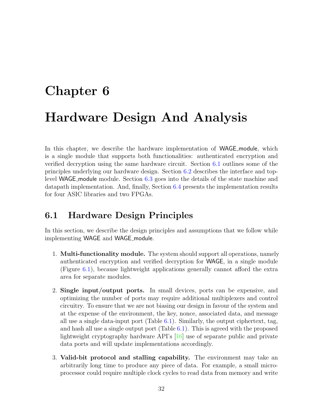# <span id="page-31-0"></span>Chapter 6 Hardware Design And Analysis

In this chapter, we describe the hardware implementation of WAGE module, which is a single module that supports both functionalities: authenticated encryption and verified decryption using the same hardware circuit. Section [6.1](#page-31-1) outlines some of the principles underlying our hardware design. Section [6.2](#page-32-0) describes the interface and toplevel WAGE module module. Section [6.3](#page-41-0) goes into the details of the state machine and datapath implementation. And, finally, Section [6.4](#page-49-0) presents the implementation results for four ASIC libraries and two FPGAs.

## <span id="page-31-1"></span>6.1 Hardware Design Principles

In this section, we describe the design principles and assumptions that we follow while implementing WAGE and WAGE\_module.

- 1. Multi-functionality module. The system should support all operations, namely authenticated encryption and verified decryption for WAGE, in a single module (Figure [6.1\)](#page-33-1), because lightweight applications generally cannot afford the extra area for separate modules.
- 2. Single input/output ports. In small devices, ports can be expensive, and optimizing the number of ports may require additional multiplexers and control circuitry. To ensure that we are not biasing our design in favour of the system and at the expense of the environment, the key, nonce, associated data, and message all use a single data-input port (Table [6.1\)](#page-32-1). Similarly, the output ciphertext, tag, and hash all use a single output port (Table [6.1\)](#page-32-1). This is agreed with the proposed lightweight cryptography hardware API's [\[16\]](#page-58-13) use of separate public and private data ports and will update implementations accordingly.
- 3. Valid-bit protocol and stalling capability. The environment may take an arbitrarily long time to produce any piece of data. For example, a small microprocessor could require multiple clock cycles to read data from memory and write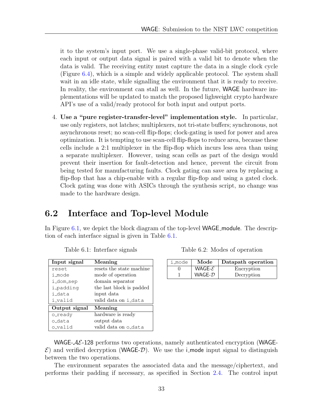it to the system's input port. We use a single-phase valid-bit protocol, where each input or output data signal is paired with a valid bit to denote when the data is valid. The receiving entity must capture the data in a single clock cycle (Figure [6.4\)](#page-37-0), which is a simple and widely applicable protocol. The system shall wait in an idle state, while signalling the environment that it is ready to receive. In reality, the environment can stall as well. In the future, WAGE hardware implementations will be updated to match the proposed lighweight crypto hardware API's use of a valid/ready protocol for both input and output ports.

4. Use a "pure register-transfer-level" implementation style. In particular, use only registers, not latches; multiplexers, not tri-state buffers; synchronous, not asynchronous reset; no scan-cell flip-flops; clock-gating is used for power and area optimization. It is tempting to use scan-cell flip-flops to reduce area, because these cells include a 2:1 multiplexer in the flip-flop which incurs less area than using a separate multiplexer. However, using scan cells as part of the design would prevent their insertion for fault-detection and hence, prevent the circuit from being tested for manufacturing faults. Clock gating can save area by replacing a flip-flop that has a chip-enable with a regular flip-flop and using a gated clock. Clock gating was done with ASICs through the synthesis script, no change was made to the hardware design.

## <span id="page-32-0"></span>6.2 Interface and Top-level Module

<span id="page-32-1"></span>In Figure [6.1,](#page-33-1) we depict the block diagram of the top-level **WAGE** module. The description of each interface signal is given in Table [6.1.](#page-32-1)

| Input signal  | Meaning                  |
|---------------|--------------------------|
| reset.        | resets the state machine |
| i_mode        | mode of operation        |
| i_dom_sep     | domain separator         |
| i_padding     | the last block is padded |
| i data        | input data               |
| i_valid       | valid data on i_data     |
| Output signal | Meaning                  |
| o_ready       | hardware is ready        |
| o data        | output data              |
| o_valid       | valid data on o_data     |

Table 6.2: Modes of operation

| i_mode | Mode             | Datapath operation |
|--------|------------------|--------------------|
|        | WAGE- ${\cal E}$ | Encryption         |
|        | $WAGE-D$         | Decryption         |

WAGE- $AE$ -128 performs two operations, namely authenticated encryption (WAGE- $\mathcal E$ ) and verified decryption (WAGE-D). We use the i-mode input signal to distinguish between the two operations.

The environment separates the associated data and the message/ciphertext, and performs their padding if necessary, as specified in Section [2.4.](#page-12-1) The control input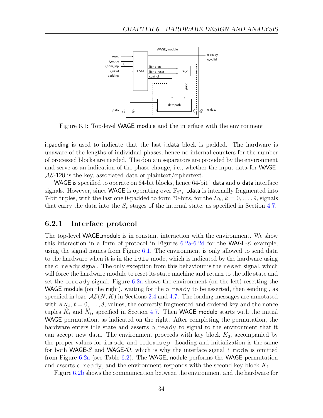<span id="page-33-1"></span>

Figure 6.1: Top-level WAGE module and the interface with the environment

i padding is used to indicate that the last i data block is padded. The hardware is unaware of the lengths of individual phases, hence no internal counters for the number of processed blocks are needed. The domain separators are provided by the environment and serve as an indication of the phase change, i.e., whether the input data for WAGE- $AE-128$  is the key, associated data or plaintext/ciphertext.

WAGE is specified to operate on 64-bit blocks, hence 64-bit i\_data and o\_data interface signals. However, since WAGE is operating over  $\mathbb{F}_{2^7}$ , i\_data is internally fragmented into 7-bit tuples, with the last one 0-padded to form 70-bits, for the  $D_k$ ,  $k = 0, \ldots, 9$ , signals that carry the data into the  $S_r$  stages of the internal state, as specified in Section [4.7.](#page-25-0)

#### <span id="page-33-0"></span>6.2.1 Interface protocol

The top-level WAGE module is in constant interaction with the environment. We show this interaction in a form of protocol in Figures [6.2a-6.2d](#page-34-0) for the WAGE- $\mathcal{E}$  example, using the signal names from Figure [6.1.](#page-33-1) The environment is only allowed to send data to the hardware when it is in the idle mode, which is indicated by the hardware using the o\_ready signal. The only exception from this behaviour is the reset signal, which will force the hardware module to reset its state machine and return to the idle state and set the  $\circ$ -ready signal. Figure [6.2a](#page-34-0) shows the environment (on the left) resetting the WAGE module (on the right), waiting for the  $\circ$ -ready to be asserted, then sending, as specified in load- $\mathcal{AE}(N, K)$  in Sections [2.4](#page-12-1) and [4.7.](#page-25-0) The loading messages are annotated with  $KN_t$ ,  $t = 0, \ldots, 8$ , values, the correctly fragmented and ordered key and the nonce tuples  $K_i$  and  $N_i$ , specified in Section [4.7.](#page-25-0) Then WAGE module starts with the initial WAGE permutation, as indicated on the right. After completing the permutation, the hardware enters idle state and asserts o\_ready to signal to the environment that it can accept new data. The environment proceeds with key block  $K_0$ , accompanied by the proper values for i mode and i dom sep. Loading and initialization is the same for both WAGE- $\mathcal{E}$  and WAGE- $\mathcal{D}$ , which is why the interface signal i mode is omitted from Figure [6.2a](#page-34-0) (see Table [6.2\)](#page-32-1). The WAGE module performs the WAGE permutation and asserts oready, and the environment responds with the second key block  $K_1$ .

Figure [6.2b](#page-34-0) shows the communication between the environment and the hardware for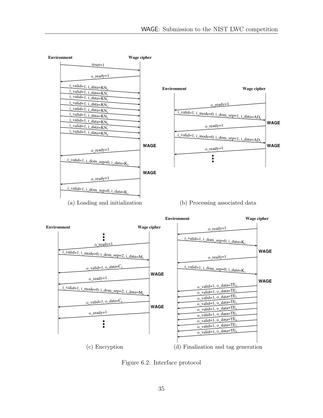<span id="page-34-0"></span>

(c) Encryption (d) Finalization and tag generation

Figure 6.2: Interface protocol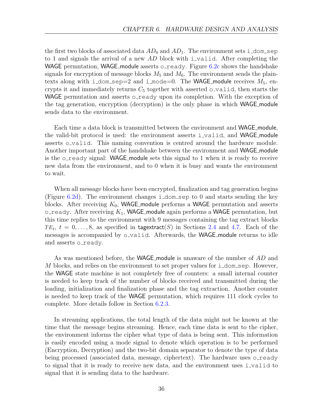the first two blocks of associated data  $AD_0$  and  $AD_1$ . The environment sets i\_dom\_sep to 1 and signals the arrival of a new AD block with i valid. After completing the WAGE permutation, WAGE module asserts o ready. Figure  $6.2c$  shows the handshake signals for encryption of message blocks  $M_5$  and  $M_6$ . The environment sends the plaintexts along with i\_dom\_sep=2 and i\_mode=0. The WAGE\_module receives  $M_5$ , encrypts it and immediately returns  $C_5$  together with asserted o-valid, then starts the WAGE permutation and asserts o\_ready upon its completion. With the exception of the tag generation, encryption (decryption) is the only phase in which WAGE module sends data to the environment.

Each time a data block is transmitted between the environment and WAGE module, the valid-bit protocol is used: the environment asserts i valid, and WAGE module asserts o\_valid. This naming convention is centred around the hardware module. Another important part of the handshake between the environment and WAGE module is the  $\circ$ -ready signal: WAGE module sets this signal to 1 when it is ready to receive new data from the environment, and to 0 when it is busy and wants the environment to wait.

When all message blocks have been encrypted, finalization and tag generation begins (Figure [6.2d\)](#page-34-0). The environment changes i\_dom\_sep to 0 and starts sending the key blocks. After receiving  $K_0$ , WAGE module performs a WAGE permutation and asserts  $\circ$ -ready. After receiving  $K_1$ , WAGE module again performs a WAGE permutation, but this time replies to the environment with 9 messages containing the tag extract blocks  $TE_t$ ,  $t = 0, \ldots, 8$ , as specified in tagextract(S) in Sections [2.4](#page-12-1) and [4.7.](#page-25-0) Each of the messages is accompanied by o\_valid. Afterwards, the WAGE\_module returns to idle and asserts o\_ready.

As was mentioned before, the WAGE module is unaware of the number of AD and M blocks, and relies on the environment to set proper values for  $i$  dom sep. However, the WAGE state machine is not completely free of counters: a small internal counter is needed to keep track of the number of blocks received and transmitted during the loading, initialization and finalization phase and the tag extraction. Another counter is needed to keep track of the WAGE permutation, which requires 111 clock cycles to complete. More details follow in Section [6.2.3.](#page-38-0)

In streaming applications, the total length of the data might not be known at the time that the message begins streaming. Hence, each time data is sent to the cipher, the environment informs the cipher what type of data is being sent. This information is easily encoded using a mode signal to denote which operation is to be performed (Encryption, Decryption) and the two-bit domain separator to denote the type of data being processed (associated data, message, ciphertext). The hardware uses  $\circ$  ready to signal that it is ready to receive new data, and the environment uses i valid to signal that it is sending data to the hardware.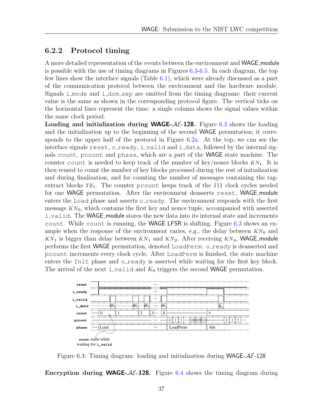#### <span id="page-36-0"></span>6.2.2 Protocol timing

A more detailed representation of the events between the environment and WAGE module is possible with the use of timing diagrams in Figures [6.3-](#page-36-1)[6.5.](#page-37-1) In each diagram, the top few lines show the interface signals (Table [6.1\)](#page-32-1), which were already discussed as a part of the communication protocol between the environment and the hardware module. Signals i mode and i dom sep are omitted from the timing diagrams: their current value is the same as shown in the corresponding protocol figure. The vertical ticks on the horizontal lines represent the time: a single column shows the signal values within the same clock period.

**Loading and initialization during WAGE-AE-128.** Figure [6.3](#page-36-1) shows the loading and the initialization up to the beginning of the second WAGE permutation; it corresponds to the upper half of the protocol in Figure [6.2a.](#page-34-0) At the top, we can see the interface signals reset, o\_ready, i\_valid and i\_data, followed by the internal signals count, pcount and phase, which are a part of the WAGE state machine. The counter count is needed to keep track of the number of key/nonce blocks  $KN_t$ . It is then reused to count the number of key blocks processed during the rest of initialization and during finalization, and for counting the number of messages containing the tagextract blocks  $TE_t$ . The counter pcount keeps track of the 111 clock cycles needed for one WAGE permutation. After the environment deasserts reset, WAGE module enters the Load phase and asserts o\_ready. The environment responds with the first message  $KN_0$ , which contains the first key and nonce tuple, accompanied with asserted i valid. The WAGE module stores the new data into its internal state and increments count. While count is running, the **WAGE LFSR** is shifting. Figure  $6.3$  shows an example when the response of the environment varies, e.g., the delay between  $KN_0$  and  $KN_1$  is bigger than delay between  $KN_1$  and  $KN_2$ . After receiving  $KN_8$ , WAGE module performs the first WAGE permutation, denoted LoadPerm: o\_ready is deasserted and pcount increments every clock cycle. After LoadPerm is finished, the state machine enters the Init phase and o\_ready is asserted while waiting for the first key block. The arrival of the next i\_valid and  $K_0$  triggers the second WAGE permutation.

<span id="page-36-1"></span>

Figure 6.3: Timing diagram: loading and initialization during **WAGE-** $AE$ **-128** 

Encryption during WAGE- $AE-128$ . Figure [6.4](#page-37-0) shows the timing diagram during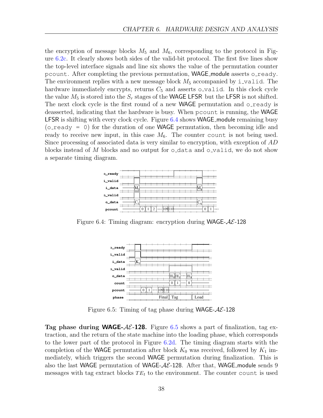the encryption of message blocks  $M_5$  and  $M_6$ , corresponding to the protocol in Figure [6.2c.](#page-34-0) It clearly shows both sides of the valid-bit protocol. The first five lines show the top-level interface signals and line six shows the value of the permutation counter pcount. After completing the previous permutation, **WAGE** module asserts o\_ready. The environment replies with a new message block  $M_5$  accompanied by i\_valid. The hardware immediately encrypts, returns  $C_5$  and asserts o valid. In this clock cycle the value  $M_5$  is stored into the  $S_r$  stages of the WAGE LFSR but the LFSR is not shifted. The next clock cycle is the first round of a new WAGE permutation and o\_ready is deasserted, indicating that the hardware is busy. When pcount is running, the WAGE LFSR is shifting with every clock cycle. Figure [6.4](#page-37-0) shows WAGE module remaining busy ( $o$ -ready = 0) for the duration of one WAGE permutation, then becoming idle and ready to receive new input, in this case  $M_6$ . The counter count is not being used. Since processing of associated data is very similar to encryption, with exception of AD blocks instead of M blocks and no output for  $\circ$ -data and  $\circ$ -valid, we do not show a separate timing diagram.

<span id="page-37-0"></span>

<span id="page-37-1"></span>Figure 6.4: Timing diagram: encryption during WAGE- $AE$ -128



Figure 6.5: Timing of tag phase during WAGE- $AE$ -128

**Tag phase during WAGE-AE-128.** Figure [6.5](#page-37-1) shows a part of finalization, tag extraction, and the return of the state machine into the loading phase, which corresponds to the lower part of the protocol in Figure [6.2d.](#page-34-0) The timing diagram starts with the completion of the WAGE permutation after block  $K_0$  was received, followed by  $K_1$  immediately, which triggers the second WAGE permutation during finalization. This is also the last WAGE permutation of WAGE- $A\mathcal{E}$ -128. After that, WAGE module sends 9 messages with tag extract blocks  $TE_t$  to the environment. The counter count is used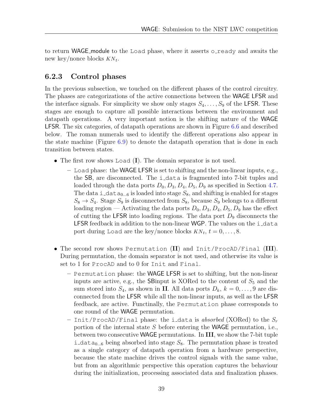to return WAGE module to the Load phase, where it asserts oready and awaits the new key/nonce blocks  $KN_t$ .

### <span id="page-38-0"></span>6.2.3 Control phases

In the previous subsection, we touched on the different phases of the control circuitry. The phases are categorizations of the active connections between the WAGE LFSR and the interface signals. For simplicity we show only stages  $S_4, \ldots, S_9$  of the LFSR. These stages are enough to capture all possible interactions between the environment and datapath operations. A very important notion is the shifting nature of the WAGE LFSR. The six categories, of datapath operations are shown in Figure [6.6](#page-39-0) and described below. The roman numerals used to identify the different operations also appear in the state machine (Figure [6.9\)](#page-44-0) to denote the datapath operation that is done in each transition between states.

- The first row shows Load (I). The domain separator is not used.
	- Load phase: the WAGE LFSR is set to shifting and the non-linear inputs, e.g., the SB, are disconnected. The i data is fragmented into 7-bit tuples and loaded through the data ports  $D_0$ ,  $D_3$ ,  $D_4$ ,  $D_5$ ,  $D_9$  as specified in Section [4.7.](#page-25-0) The data i  $\Delta a_{0...6}$  is loaded into stage  $S_8$ , and shifting is enabled for stages  $S_8 \rightarrow S_4$ . Stage  $S_9$  is disconnected from  $S_8$ , because  $S_9$  belongs to a different loading region — Activating the data ports  $D_0$ ,  $D_3$ ,  $D_4$ ,  $D_5$ ,  $D_9$  has the effect of cutting the LFSR into loading regions. The data port  $D_9$  disconnects the LFSR feedback in addition to the non-linear WGP. The values on the i\_data port during Load are the key/nonce blocks  $KN_t$ ,  $t = 0, \ldots, 8$ .
- The second row shows Permutation (II) and Init/ProcAD/Final (III). During permutation, the domain separator is not used, and otherwise its value is set to 1 for ProcAD and to 0 for Init and Final.
	- Permutation phase: the WAGE LFSR is set to shifting, but the non-linear inputs are active, e.g., the SB input is XORed to the content of  $S_5$  and the sum stored into  $S_4$ , as shown in II. All data ports  $D_k$ ,  $k = 0, \ldots, 9$  are disconnected from the LFSR while all the non-linear inputs, as well as the LFSR feedback, are active. Functinally, the Permutation phase corresponds to one round of the WAGE permutation.
	- Init/ProcAD/Final phase: the i\_data is absorbed (XORed) to the  $S_r$ portion of the internal state S before entering the WAGE permutation, i.e., between two consecutive WAGE permutations. In III, we show the 7-bit tuple i\_data<sub>0...6</sub> being absorbed into stage  $S_8$ . The permutation phase is treated as a single category of datapath operation from a hardware perspective, because the state machine drives the control signals with the same value, but from an algorithmic perspective this operation captures the behaviour during the initialization, processing associated data and finalization phases.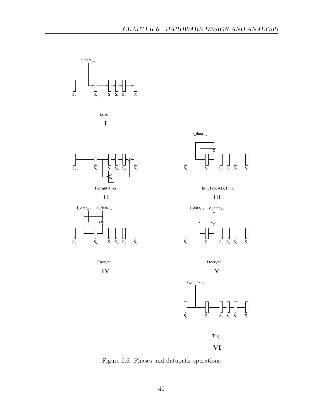<span id="page-39-0"></span>

Figure 6.6: Phases and datapath operations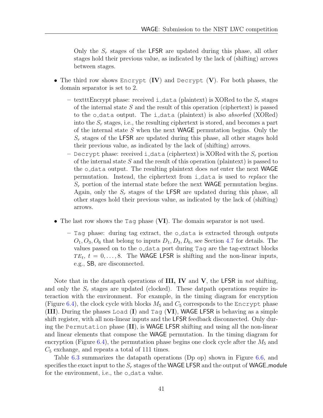Only the  $S_r$  stages of the LFSR are updated during this phase, all other stages hold their previous value, as indicated by the lack of (shifting) arrows between stages.

- The third row shows Encrypt  $(IV)$  and Decrypt  $(V)$ . For both phases, the domain separator is set to 2.
	- textttEncrypt phase: received i\_data (plaintext) is XORed to the  $S_r$  stages of the internal state  $S$  and the result of this operation (ciphertext) is passed to the o\_data output. The i\_data (plaintext) is also *absorbed* (XORed) into the  $S_r$  stages, i.e., the resulting ciphertext is stored, and becomes a part of the internal state  $S$  when the next WAGE permutation begins. Only the  $S_r$  stages of the LFSR are updated during this phase, all other stages hold their previous value, as indicated by the lack of (shifting) arrows.
	- Decrypt phase: received i\_data (ciphertext) is XORed with the  $S_r$  portion of the internal state S and the result of this operation (plaintext) is passed to the  $\circ$ -data output. The resulting plaintext does not enter the next WAGE permutation. Instead, the ciphertext from i\_data is used to *replace* the  $S_r$  portion of the internal state before the next WAGE permutation begins. Again, only the  $S_r$  stages of the LFSR are updated during this phase, all other stages hold their previous value, as indicated by the lack of (shifting) arrows.
- The last row shows the Tag phase (VI). The domain separator is not used.
	- $-$  Tag phase: during tag extract, the o-data is extracted through outputs  $O_1, O_3, O_6$  that belong to inputs  $D_1, D_3, D_6$ , see Section [4.7](#page-25-0) for details. The values passed on to the o data port during Tag are the tag-extract blocks  $TE_t$ ,  $t = 0, \ldots, 8$ . The WAGE LFSR is shifting and the non-linear inputs, e.g., SB, are disconnected.

Note that in the datapath operations of  $III$ , IV and V, the LFSR in not shifting, and only the  $S_r$  stages are updated (clocked). These datpath operations require interaction with the environment. For example, in the timing diagram for encryption (Figure [6.4\)](#page-37-0), the clock cycle with blocks  $M_5$  and  $C_5$  corresponds to the Encrypt phase (III). During the phases Load  $(I)$  and Tag  $(VI)$ , WAGE LFSR is behaving as a simple shift register, with all non-linear inputs and the LFSR feedback disconnected. Only during the Permutation phase (II), is WAGE LFSR shifting and using all the non-linear and linear elements that compose the WAGE permutation. In the timing diagram for encryption (Figure  $6.4$ ), the permutation phase begins one clock cycle after the  $M_5$  and  $C_5$  exchange, and repeats a total of 111 times.

Table [6.3](#page-41-2) summarizes the datapath operations (Dp op) shown in Figure [6.6,](#page-39-0) and specifies the exact input to the  $S_r$  stages of the WAGE LFSR and the output of WAGE module for the environment, i.e., the o\_data value.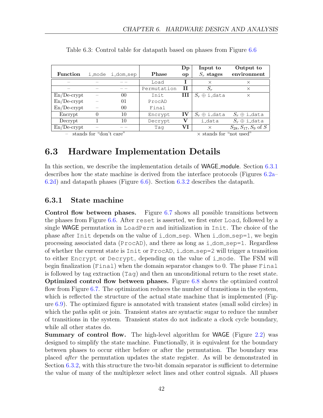|                 |                         |                  |              | $\mathbf{D}\mathbf{p}$         | Input to            | Output to                  |
|-----------------|-------------------------|------------------|--------------|--------------------------------|---------------------|----------------------------|
| <b>Function</b> |                         | i_mode i_dom_sep | <b>Phase</b> | <sub>o</sub> p                 | $S_r$ stages        | environment                |
|                 |                         |                  | Load         |                                | $\times$            | $\times$                   |
|                 |                         |                  | Permutation  | $\mathbf{H}$                   | $S_r$               | $\times$                   |
| $En/De-crypt$   |                         | $00\,$           | Init         | Ш                              | $S_r \oplus$ i_data | X                          |
| $En/De-crypt$   |                         | 01               | ProcAD       |                                |                     |                            |
| $En/De-crypt$   |                         | $00\,$           | Final        |                                |                     |                            |
| Encrypt         |                         | 10               | Encrypt      | IV                             | $S_r \oplus$ i_data | $S_r \oplus$ i_data        |
| Decrypt         |                         | 10               | Decrypt      | $\mathbf{V}$                   | i_data              | $S_r \oplus$ i_data        |
| $En/De-crypt$   |                         |                  | Tag          | VI                             | $\times$            | $S_{28}, S_{17}, S_9$ of S |
|                 | stands for "don't care" |                  |              | $\times$ stands for "not used" |                     |                            |

<span id="page-41-2"></span>Table 6.3: Control table for datapath based on phases from Figure [6.6](#page-39-0)

## <span id="page-41-0"></span>6.3 Hardware Implementation Details

In this section, we describe the implementation details of WAGE module. Section [6.3.1](#page-41-1) describes how the state machine is derived from the interface protocols (Figures [6.2a–](#page-34-0) [6.2d\)](#page-34-0) and datapath phases (Figure [6.6\)](#page-39-0). Section [6.3.2](#page-46-0) describes the datapath.

#### <span id="page-41-1"></span>6.3.1 State machine

Control flow between phases. Figure [6.7](#page-42-0) shows all possible transitions between the phases from Figure [6.6.](#page-39-0) After reset is asserted, we first enter Load, followed by a single WAGE permutation in LoadPerm and initialization in Init. The choice of the phase after Init depends on the value of i dom sep. When i dom sep=1, we begin processing associated data ( $\text{ProcAD}$ ), and there as long as i\_dom\_sep=1. Regardless of whether the current state is Init or ProcAD, i dom sep=2 will trigger a transition to either Encrypt or Decrypt, depending on the value of i mode. The FSM will begin finalization (Final) when the domain separator changes to 0. The phase Final is followed by tag extraction (Tag) and then an unconditional return to the reset state. Optimized control flow between phases. Figure [6.8](#page-42-1) shows the optimized control flow from Figure [6.7.](#page-42-0) The optimization reduces the number of transitions in the system, which is reflected the structure of the actual state machine that is implemented (Figure [6.9\)](#page-44-0). The optimized figure is annotated with transient states (small solid circles) in which the paths split or join. Transient states are syntactic sugar to reduce the number of transitions in the system. Transient states do not indicate a clock cycle boundary, while all other states do.

Summary of control flow. The high-level algorithm for WAGE (Figure [2.2\)](#page-15-1) was designed to simplify the state machine. Functionally, it is equivalent for the boundary between phases to occur either before or after the permutation. The boundary was placed after the permutation updates the state register. As will be demonstrated in Section [6.3.2,](#page-46-0) with this structure the two-bit domain separator is sufficient to determine the value of many of the multiplexer select lines and other control signals. All phases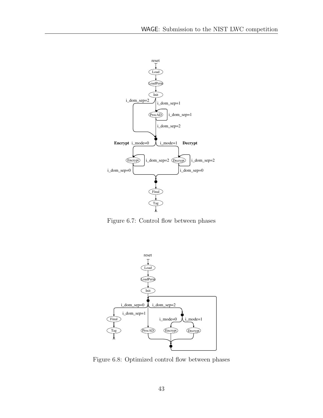<span id="page-42-0"></span>

Figure 6.7: Control flow between phases

<span id="page-42-1"></span>

Figure 6.8: Optimized control flow between phases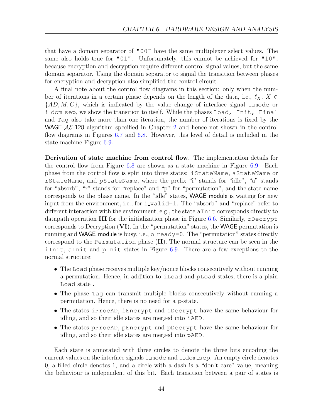that have a domain separator of "00" have the same multiplexer select values. The same also holds true for "01". Unfortunately, this cannot be achieved for "10", because encryption and decryption require different control signal values, but the same domain separator. Using the domain separator to signal the transition between phases for encryption and decryption also simplified the control circuit.

A final note about the control flow diagrams in this section: only when the number of iterations in a certain phase depends on the length of the data, i.e.,  $\ell_X$ ,  $X \in$  ${AD, M, C}$ , which is indicated by the value change of interface signal i mode or i dom sep, we show the transition to itself. While the phases Load, Init, Final and Tag also take more than one iteration, the number of iterations is fixed by the WAGE- $A\mathcal{E}$ -1[2](#page-8-0)8 algorithm specified in Chapter 2 and hence not shown in the control flow diagrams in Figures [6.7](#page-42-0) and [6.8.](#page-42-1) However, this level of detail is included in the state machine Figure [6.9.](#page-44-0)

Derivation of state machine from control flow. The implementation details for the control flow from Figure [6.8](#page-42-1) are shown as a state machine in Figure [6.9.](#page-44-0) Each phase from the control flow is split into three states: iStateName, aStateName or rStateName, and pStateName, where the prefix "i" stands for "idle", "a" stands for "absorb", "r" stands for "replace" and "p" for "permutation", and the state name corresponds to the phase name. In the "idle" states, **WAGE** module is waiting for new input from the environment, i.e., for  $i$ -valid=1. The "absorb" and "replace" refer to different interaction with the environment, e.g., the state aInit corresponds directly to datapath operation III for the initialization phase in Figure [6.6.](#page-39-0) Similarly, rDecrypt corresponds to Decryption (VI). In the "permutation" states, the WAGE permutation is running and WAGE module is busy, i.e.,  $\circ$  ready=0. The "permutation" states directly correspond to the Permutation phase (II). The normal structure can be seen in the iInit, aInit and pInit states in Figure [6.9.](#page-44-0) There are a few exceptions to the normal structure:

- The Load phase receives multiple key/nonce blocks consecutively without running a permutation. Hence, in addition to iLoad and pLoad states, there is a plain Load state .
- The phase Tag can transmit multiple blocks consecutively without running a permutation. Hence, there is no need for a p-state.
- The states iProcAD, iEncrypt and iDecrypt have the same behaviour for idling, and so their idle states are merged into iAED.
- The states pProcAD, pEncrypt and pDecrypt have the same behaviour for idling, and so their idle states are merged into pAED.

Each state is annotated with three circles to denote the three bits encoding the current values on the interface signals  $\pm$  mode and  $\pm$  dom sep. An empty circle denotes 0, a filled circle denotes 1, and a circle with a dash is a "don't care" value, meaning the behaviour is independent of this bit. Each transition between a pair of states is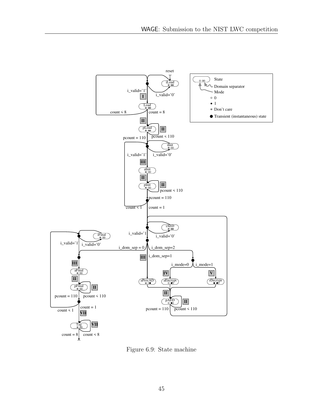<span id="page-44-0"></span>

Figure 6.9: State machine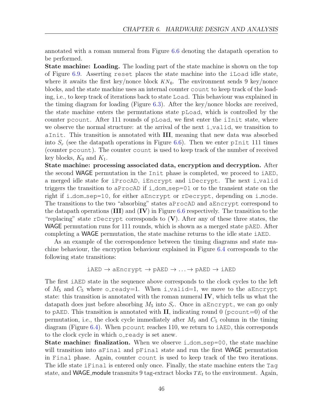annotated with a roman numeral from Figure [6.6](#page-39-0) denoting the datapath operation to be performed.

State machine: Loading. The loading part of the state machine is shown on the top of Figure [6.9.](#page-44-0) Asserting reset places the state machine into the iLoad idle state, where it awaits the first key/nonce block  $KN_0$ . The environment sends 9 key/nonce blocks, and the state machine uses an internal counter count to keep track of the loading, i.e., to keep track of iterations back to state Load. This behaviour was explained in the timing diagram for loading (Figure [6.3\)](#page-36-1). After the key/nonce blocks are received, the state machine enters the permutations state pLoad, which is controlled by the counter pcount. After 111 rounds of pLoad, we first enter the iInit state, where we observe the normal structure: at the arrival of the next i\_valid, we transition to aInit. This transition is annotated with III, meaning that new data was absorbed into  $S_r$  (see the datapath operations in Figure [6.6\)](#page-39-0). Then we enter pInit 111 times (counter pcount). The counter count is used to keep track of the number of received key blocks,  $K_0$  and  $K_1$ .

State machine: processing associated data, encryption and decryption. After the second WAGE permutation in the Init phase is completed, we proceed to iAED, a merged idle state for iProcAD, iEncrypt and iDecrypt. The next i valid triggers the transition to aProcAD if i dom sep=01 or to the transient state on the right if i dom sep=10, for either aEncrypt or rDecrypt, depending on i mode. The transitions to the two "absorbing" states aProcAD and aEncrypt correspond to the datapath operations  $(III)$  and  $(IV)$  in Figure [6.6](#page-39-0) respectively. The transition to the "replacing" state rDecrypt corresponds to  $(V)$ . After any of these three states, the WAGE permutation runs for 111 rounds, which is shown as a merged state pAED. After completing a WAGE permutation, the state machine returns to the idle state iAED.

As an example of the correspondence between the timing diagrams and state machine behaviour, the encryption behaviour explained in Figure [6.4](#page-37-0) corresponds to the following state transitions:

$$
\texttt{iAED} \rightarrow \texttt{aEncrypt} \rightarrow \texttt{pAED} \rightarrow \ldots \rightarrow \texttt{pAED} \rightarrow \texttt{iAED}
$$

The first iAED state in the sequence above corresponds to the clock cycles to the left of  $M_5$  and  $C_5$  where o\_ready=1. When i\_valid=1, we move to the aEncrypt state: this transition is annotated with the roman numeral IV, which tells us what the datapath does just before absorbing  $M_5$  into  $S_r$ . Once in aEncrypt, we can go only to pAED. This transition is annotated with  $II$ , indicating round 0 (pcount=0) of the permutation, i.e., the clock cycle immediately after  $M_5$  and  $C_5$  column in the timing diagram (Figure [6.4\)](#page-37-0). When pcount reaches 110, we return to iAED, this corresponds to the clock cycle in which o\_ready is set anew.

**State machine: finalization.** When we observe i\_dom\_sep=00, the state machine will transition into aFinal and pFinal state and run the first **WAGE** permutation in Final phase. Again, counter count is used to keep track of the two iterations. The idle state iFinal is entered only once. Finally, the state machine enters the Tag state, and **WAGE** module transmits 9 tag-extract blocks  $TE_t$  to the environment. Again,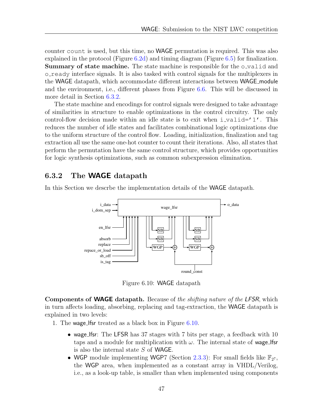counter count is used, but this time, no WAGE permutation is required. This was also explained in the protocol (Figure [6.2d\)](#page-34-0) and timing diagram (Figure [6.5\)](#page-37-1) for finalization. Summary of state machine. The state machine is responsible for the o-valid and o ready interface signals. It is also tasked with control signals for the multiplexers in the WAGE datapath, which accommodate different interactions between WAGE module and the environment, i.e., different phases from Figure [6.6.](#page-39-0) This will be discussed in more detail in Section [6.3.2.](#page-46-0)

The state machine and encodings for control signals were designed to take advantage of similarities in structure to enable optimizations in the control circuitry. The only control-flow decision made within an idle state is to exit when  $i$ -valid='1'. This reduces the number of idle states and facilitates combinational logic optimizations due to the uniform structure of the control flow. Loading, initialization, finalization and tag extraction all use the same one-hot counter to count their iterations. Also, all states that perform the permutation have the same control structure, which provides opportunities for logic synthesis optimizations, such as common subexpression elimination.

#### <span id="page-46-0"></span>6.3.2 The WAGE datapath

<span id="page-46-1"></span>In this Section we descrbe the implementation details of the WAGE datapath.



Figure 6.10: WAGE datapath

Components of WAGE datapath. Because of the shifting nature of the LFSR, which in turn affects loading, absorbing, replacing and tag-extraction, the WAGE datapath is explained in two levels:

- 1. The wage lfsr treated as a black box in Figure [6.10.](#page-46-1)
	- wage Ifsr: The LFSR has 37 stages with 7 bits per stage, a feedback with 10 taps and a module for multiplication with  $\omega$ . The internal state of wage lfsr is also the internal state S of WAGE.
	- WGP module implementing WGP7 (Section [2.3.3\)](#page-10-1): For small fields like  $\mathbb{F}_{2^7}$ , the WGP area, when implemented as a constant array in VHDL/Verilog, i.e., as a look-up table, is smaller than when implemented using components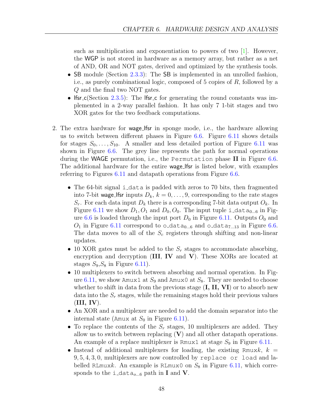such as multiplication and exponentiation to powers of two  $[1]$ . However, the WGP is not stored in hardware as a memory array, but rather as a net of AND, OR and NOT gates, derived and optimized by the synthesis tools.

- SB module (Section [2.3.3\)](#page-10-1): The SB is implemented in an unrolled fashion, i.e., as purely combinational logic, composed of 5 copies of R, followed by a Q and the final two NOT gates.
- If  $s =$  If  $s = c$  (Section [2.3.5\)](#page-12-0): The If  $s = c$  for generating the round constants was implemented in a 2-way parallel fashion. It has only 7 1-bit stages and two XOR gates for the two feedback computations.
- 2. The extra hardware for wage lfsr in sponge mode, i.e., the hardware allowing us to switch between different phases in Figure [6.6.](#page-39-0) Figure [6.11](#page-48-0) shows details for stages  $S_0, \ldots, S_{10}$ . A smaller and less detailed portion of Figure [6.11](#page-48-0) was shown in Figure [6.6.](#page-39-0) The grey line represents the path for normal operations during the WAGE permutation, i.e., the Permutation phase II in Figure [6.6.](#page-39-0) The additional hardware for the entire wage lfsr is listed below, with examples referring to Figures [6.11](#page-48-0) and datapath operations from Figure [6.6.](#page-39-0)
	- The 64-bit signal i\_data is padded with zeros to 70 bits, then fragmented into 7-bit wage lfsr inputs  $D_k$ ,  $k = 0, \ldots, 9$ , corresponding to the rate stages  $S_r$ . For each data input  $D_k$  there is a corresponding 7-bit data output  $O_k$ . In Figure [6.11](#page-48-0) we show  $D_1, O_1$  and  $D_0, O_0$ . The input tuple i\_data<sub>0...6</sub> in Fig-ure [6.6](#page-39-0) is loaded through the input port  $D_0$  in Figure [6.11.](#page-48-0) Outputs  $O_0$  and  $O_1$  in Figure [6.11](#page-48-0) correspond to o\_data<sub>0...6</sub> and o\_data<sub>7...13</sub> in Figure [6.6.](#page-39-0) The data moves to all of the  $S_c$  registers through shifting and non-linear updates.
	- 10 XOR gates must be added to the  $S_r$  stages to accommodate absorbing, encryption and decryption  $(III, IV, and V)$ . These XORs are located at stages  $S_9, S_8$  in Figure 6.11.
	- 10 multiplexers to switch between absorbing and normal operation. In Fig-ure [6.11,](#page-48-0) we show Amux1 at  $S_9$  and Amux0 at  $S_8$ . They are needed to choose whether to shift in data from the previous stage  $(I, II, VI)$  or to absorb new data into the  $S_r$  stages, while the remaining stages hold their previous values  $(III, IV).$
	- An XOR and a multiplexer are needed to add the domain separator into the internal state (Amux at  $S_0$  in Figure [6.11\)](#page-48-0).
	- To replace the contents of the  $S_r$  stages, 10 multiplexers are added. They allow us to switch between replacing  $(V)$  and all other datapath operations. An example of a replace multiplexer is Rmux1 at stage  $S_9$  in Figure [6.11.](#page-48-0)
	- Instead of additional multiplexers for loading, the existing Rmuxk,  $k =$ 9, 5, 4, 3, 0, multiplexers are now controlled by replace or load and labelled RLmuxk. An example is RLmux0 on  $S_8$  in Figure [6.11,](#page-48-0) which corresponds to the i\_data<sub>o...6</sub> path in **I** and **V**.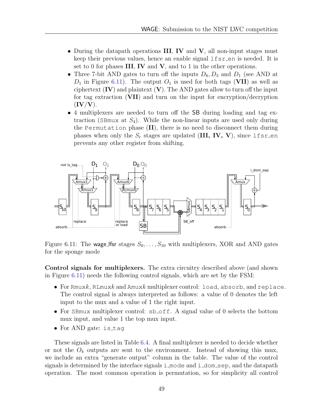- During the datapath operations III, IV and V, all non-input stages must keep their previous values, hence an enable signal  $lfsr_en$  is needed. It is set to 0 for phases  $III$ , IV and V, and to 1 in the other operations.
- Three 7-bit AND gates to turn off the inputs  $D_6, D_3$  and  $D_1$  (see AND at  $D_1$  in Figure [6.11\)](#page-48-0). The output  $O_1$  is used for both tags (VII) as well as ciphertext  $(IV)$  and plaintext  $(V)$ . The AND gates allow to turn off the input for tag extraction (VII) and turn on the input for encryption/decryption  $(IV/V).$
- 4 multiplexers are needed to turn off the SB during loading and tag extraction (SBmux at  $S_4$ ). While the non-linear inputs are used only during the Permutation phase (II), there is no need to disconnect them during phases when only the  $S_r$  stages are updated (III, IV, V), since lfsr en prevents any other register from shifting.

<span id="page-48-0"></span>

Figure 6.11: The wage lfsr stages  $S_0, \ldots, S_{10}$  with multiplexers, XOR and AND gates for the sponge mode

Control signals for multiplexers. The extra circuitry described above (and shown in Figure [6.11\)](#page-48-0) needs the following control signals, which are set by the FSM:

- For Rmuxk, RLmuxk and Amuxk multiplexer control: load, absorb, and replace. The control signal is always interpreted as follows: a value of 0 denotes the left input to the mux and a value of 1 the right input.
- For SB mux multiplexer control: sb<sub>-Off.</sub> A signal value of 0 selects the bottom mux input, and value 1 the top mux input.
- For AND gate: is\_taq

These signals are listed in Table [6.4.](#page-49-1) A final multiplexer is needed to decide whether or not the  $O_k$  outputs are sent to the environment. Instead of showing this mux, we include an extra "generate output" column in the table. The value of the control signals is determined by the interface signals i mode and i dom sep, and the datapath operation. The most common operation is permutation, so for simplicity all control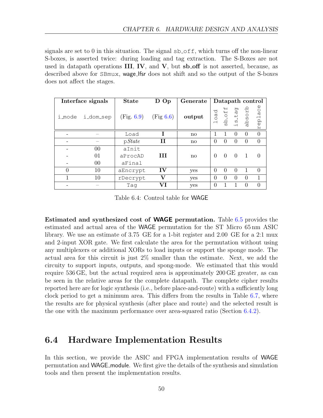signals are set to 0 in this situation. The signal  $sb\_off$ , which turns off the non-linear S-boxes, is asserted twice: during loading and tag extraction. The S-Boxes are not used in datapath operations  $III, IV,$  and  $V,$  but sb off is not asserted, because, as described above for SBmux, wage\_lfsr does not shift and so the output of the S-boxes does not affect the stages.

<span id="page-49-1"></span>

|          | Interface signals | <b>State</b> | D Op         | Generate               |          |                    |                   |                  | Datapath control |
|----------|-------------------|--------------|--------------|------------------------|----------|--------------------|-------------------|------------------|------------------|
| i_mode   | i_dom_sep         | (Fig. 6.9)   | (Fig 6.6)    | output                 | load     | sb <sub>-off</sub> | s <sub>-tag</sub> | dosorb           | $AC$ e<br>rep1   |
|          |                   | Load         |              | $\mathbf{n}\mathbf{o}$ | 1        | 1                  | $\theta$          | $\theta$         | 0                |
|          |                   | pState       | н            | $\mathbf{n}$           | $\Omega$ | $\Omega$           | $\Omega$          | $\Omega$         | 0                |
|          | 00                | aInit        |              |                        |          |                    |                   |                  |                  |
|          | 01                | aProcAD      | ш            | $\mathbf{n}\mathbf{o}$ | $\Omega$ | $\Omega$           | $\Omega$          | $\overline{1}$   |                  |
|          | 00                | aFinal       |              |                        |          |                    |                   |                  |                  |
| $\Omega$ | 10                | aEncrypt     | IV           | yes                    | $\Omega$ | $\Omega$           | $\theta$          |                  | $\Omega$         |
|          | 10                | rDecrypt     | $\mathbf{V}$ | yes                    | $\Omega$ | 0                  | $\Omega$          | $\theta$         | 1                |
|          |                   | Tag          | VI           | yes                    | 0        |                    |                   | $\left( \right)$ |                  |

Table 6.4: Control table for WAGE

Estimated and synthesized cost of WAGE permutation. Table [6.5](#page-50-0) provides the estimated and actual area of the WAGE permutation for the ST Micro 65 nm ASIC library. We use an estimate of 3.75 GE for a 1-bit register and 2.00 GE for a 2:1 mux and 2-input XOR gate. We first calculate the area for the permutation without using any multiplexers or additional XORs to load inputs or support the sponge mode. The actual area for this circuit is just 2% smaller than the estimate. Next, we add the circuity to support inputs, outputs, and spong-mode. We estimated that this would require 536 GE, but the actual required area is approximately 200 GE greater, as can be seen in the relative areas for the complete datapath. The complete cipher results reported here are for logic synthesis (i.e., before place-and-route) with a sufficiently long clock period to get a minimum area. This differs from the results in Table [6.7,](#page-53-0) where the results are for physical synthesis (after place and route) and the selected result is the one with the maximum performance over area-squared ratio (Section [6.4.2\)](#page-51-1).

### <span id="page-49-0"></span>6.4 Hardware Implementation Results

In this section, we provide the ASIC and FPGA implementation results of WAGE permutation and WAGE module. We first give the details of the synthesis and simulation tools and then present the implementation results.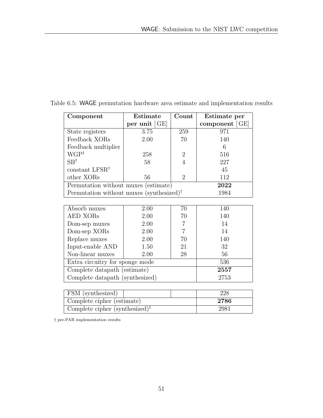| Component                                            | Estimate        | Count          | Estimate per   |
|------------------------------------------------------|-----------------|----------------|----------------|
|                                                      | per unit $[GE]$ |                | component [GE] |
| State registers                                      | 3.75            | 259            | 971            |
| Feedback XORs                                        | 2.00            | 70             | 140            |
| Feedback multiplier                                  |                 |                | 6              |
| $WGP^{\dagger}$                                      | 258             | $\overline{2}$ | 516            |
| $SB^{\dagger}$                                       | 58              | $\overline{4}$ | 227            |
| constant LFSR <sup>†</sup>                           |                 |                | 45             |
| other XORs                                           | 56              | $\mathfrak{D}$ | 112            |
| Permutation without muxes (estimate)                 |                 |                | 2022           |
| Permutation without muxes (synthesized) <sup>†</sup> |                 |                | 1984           |
|                                                      |                 |                |                |
| Absorb muxes                                         | 2.00            | 70             | 140            |
| AED XORs                                             | 2.00            | 70             | 140            |
| Dom-sep muxes                                        | 2.00            |                | 14             |
| Dom-sep XORs                                         | 2.00            |                | 14             |

<span id="page-50-0"></span>Table 6.5: WAGE permutation hardware area estimate and implementation results

| Absorb muxes                            | 2.00 | 70 | 140 |  |
|-----------------------------------------|------|----|-----|--|
| AED XORs                                | 2.00 | 70 | 140 |  |
| Dom-sep muxes                           | 2.00 |    | 14  |  |
| Dom-sep XORs                            | 2.00 |    | 14  |  |
| Replace muxes                           | 2.00 | 70 | 140 |  |
| Input-enable AND                        | 1.50 | 21 | 32  |  |
| Non-linear muxes                        | 2.00 | 28 | 56  |  |
| Extra circuitry for sponge mode<br>536  |      |    |     |  |
| Complete datapath (estimate)<br>2557    |      |    |     |  |
| Complete datapath (synthesized)<br>2753 |      |    |     |  |

| FSM (synthesized)                          | 228  |
|--------------------------------------------|------|
| Complete cipher (estimate)                 | 2786 |
| Complete cipher (synthesized) <sup>†</sup> | 2981 |

† pre-PAR implementation results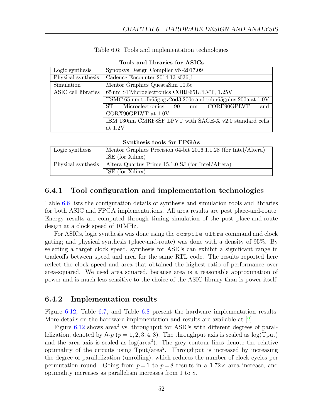<span id="page-51-2"></span>

|                     | 1000 000 1000 000 000 000 000 000                           |  |  |  |  |
|---------------------|-------------------------------------------------------------|--|--|--|--|
| Logic synthesis     | Synopsys Design Compiler vN-2017.09                         |  |  |  |  |
| Physical synthesis  | Cadence Encounter 2014.13-s036 <sub>-1</sub>                |  |  |  |  |
| Simulation          | Mentor Graphics QuestaSim 10.5c                             |  |  |  |  |
| ASIC cell libraries | 65 nm STMicroelectronics CORE65LPLVT, 1.25V                 |  |  |  |  |
|                     | TSMC 65 nm tpfn65gpgv2od3 200c and tcbn65gplus 200a at 1.0V |  |  |  |  |
|                     | CORE90GPLVT<br>Microelectronics<br>ST<br>and<br>90<br>nm    |  |  |  |  |
|                     | CORX90GPLVT at 1.0V                                         |  |  |  |  |
|                     | IBM 130nm CMRF8SF LPVT with SAGE-X v2.0 standard cells      |  |  |  |  |
|                     | at $1.2V$                                                   |  |  |  |  |

|  |  |  | Table 6.6: Tools and implementation technologies |
|--|--|--|--------------------------------------------------|
|  |  |  |                                                  |

| Synthesis tools for FPGAs |                                                                      |  |  |  |  |  |  |  |  |
|---------------------------|----------------------------------------------------------------------|--|--|--|--|--|--|--|--|
| Logic synthesis           | Mentor Graphics Precision 64-bit 2016.1.1.28 (for Intel/Altera)      |  |  |  |  |  |  |  |  |
|                           | ISE (for Xilinx)                                                     |  |  |  |  |  |  |  |  |
|                           | Physical synthesis Altera Quartus Prime 15.1.0 SJ (for Intel/Altera) |  |  |  |  |  |  |  |  |

#### Tools and libraries for ASICs

#### <span id="page-51-0"></span>6.4.1 Tool configuration and implementation technologies

ISE (for Xilinx)

Table [6.6](#page-51-2) lists the configuration details of synthesis and simulation tools and libraries for both ASIC and FPGA implementations. All area results are post place-and-route. Energy results are computed through timing simulation of the post place-and-route design at a clock speed of 10 MHz.

For ASICs, logic synthesis was done using the compile ultra command and clock gating; and physical synthesis (place-and-route) was done with a density of 95%. By selecting a target clock speed, synthesis for ASICs can exhibit a significant range in tradeoffs between speed and area for the same RTL code. The results reported here reflect the clock speed and area that obtained the highest ratio of performance over area-squared. We used area squared, because area is a reasonable approximation of power and is much less sensitive to the choice of the ASIC library than is power itself.

#### <span id="page-51-1"></span>6.4.2 Implementation results

Figure [6.12,](#page-52-0) Table [6.7,](#page-53-0) and Table [6.8](#page-53-1) present the hardware implementation results. More details on the hardware implementation and results are available at [\[2\]](#page-57-9).

Figure  $6.12$  shows area<sup>2</sup> vs. throughput for ASICs with different degrees of parallelization, denoted by  $A-p$  ( $p = 1, 2, 3, 4, 8$ ). The throughput axis is scaled as  $log(T_{\text{put}})$ and the area axis is scaled as  $log(area^2)$ . The grey contour lines denote the relative optimality of the circuits using  $Tput/area^2$ . Throughput is increased by increasing the degree of parallelization (unrolling), which reduces the number of clock cycles per permutation round. Going from  $p=1$  to  $p=8$  results in a 1.72 $\times$  area increase, and optimality increases as parallelism increases from 1 to 8.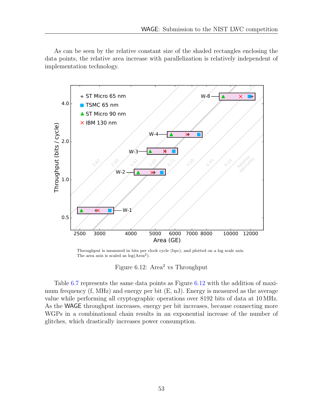As can be seen by the relative constant size of the shaded rectangles enclosing the data points, the relative area increase with parallelization is relatively independent of implementation technology.

<span id="page-52-0"></span>

Throughput is measured in bits per clock cycle (bpc), and plotted on a log scale axis. The area axis is scaled as  $log(Area<sup>2</sup>)$ .

Figure 6.12: Area<sup>2</sup> vs Throughput

Table [6.7](#page-53-0) represents the same data points as Figure [6.12](#page-52-0) with the addition of maximum frequency (f, MHz) and energy per bit (E, nJ). Energy is measured as the average value while performing all cryptographic operations over 8192 bits of data at 10 MHz. As the WAGE throughput increases, energy per bit increases, because connecting more WGPs in a combinational chain results in an exponential increase of the number of glitches, which drastically increases power consumption.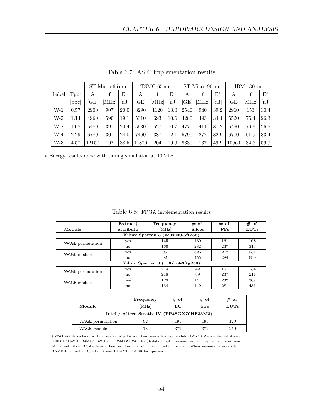<span id="page-53-0"></span>

|       |                    |       | ST Micro 65 nm |          |           | TSMC 65 nm |                             |      | ST Micro 90 nm |       | IBM 130 nm |       |       |
|-------|--------------------|-------|----------------|----------|-----------|------------|-----------------------------|------|----------------|-------|------------|-------|-------|
| Label | $_{\mathrm{Tput}}$ | A     |                | $E^*$    | A         |            | $E^*$                       | A    |                | $E^*$ | A          |       | $E^*$ |
|       | bpc                | GEl   | MHz            | $\ln\!J$ | <b>GE</b> | [MHz]      | $\left[ \mathrm{nJ}\right]$ | [GE] | [MHz]          | [nJ]  | ſGΕ        | [MHz] | [nJ]  |
| $W-1$ | 0.57               | 2900  | 907            | 20.0     | 3290      | 1120       | 13.0                        | 2540 | 940            | 39.2  | 2960       | 153   | 30.4  |
| $W-2$ | 1.14               | 4960  | 590            | 19.1     | 5310      | 693        | 10.6                        | 4280 | 493            | 34.4  | 5520       | 75.4  | 26.3  |
| $W-3$ | 1.68               | 5480  | 397            | 20.4     | 5930      | 527        | 10.7                        | 4770 | 414            | 31.2  | 5460       | 79.6  | 26.5  |
| $W-4$ | 2.29               | 6780  | 307            | 24.0     | 7460      | 387        | 12.1                        | 5790 | 277            | 32.9  | 6700       | 51.9  | 33.4  |
| W-8   | 4.57               | 12150 | 192            | 38.5     | 11870     | 204        | 19.9                        | 9330 | 137            | 49.9  | 10960      | 34.5  | 59.9  |

Table 6.7: ASIC implementation results

∗ Energy results done with timing simulation at 10 Mhz.

Table 6.8: FPGA implementation results

<span id="page-53-1"></span>

|                                   | Extract <sup>+</sup> | Frequency                          | # of          | # of | # of        |  |  |  |  |  |  |  |
|-----------------------------------|----------------------|------------------------------------|---------------|------|-------------|--|--|--|--|--|--|--|
| Module                            | attribute            | [MHz]                              | <b>Slices</b> | FFs  | <b>LUTs</b> |  |  |  |  |  |  |  |
| Xilinx Spartan 3 (xc3s200-5ft256) |                      |                                    |               |      |             |  |  |  |  |  |  |  |
| WAGE permutation                  | yes                  | 145                                | 139           | 161  | 168         |  |  |  |  |  |  |  |
|                                   | no                   | 160                                | 282           | 237  | 313         |  |  |  |  |  |  |  |
| WAGE_module                       | <b>ves</b>           | 96                                 | 326           | 212  | 531         |  |  |  |  |  |  |  |
|                                   | no                   | 92                                 | 455           | 284  | 699         |  |  |  |  |  |  |  |
|                                   |                      | Xilinx Spartan 6 (xc6slx9-3ftg256) |               |      |             |  |  |  |  |  |  |  |
| <b>WAGE</b> permutation           | yes                  | 214                                | 42            | 161  | 134         |  |  |  |  |  |  |  |
|                                   | no                   | 218                                | 89            | 237  | 211         |  |  |  |  |  |  |  |
| WAGE module                       | yes                  | 129                                | 144           | 232  | 367         |  |  |  |  |  |  |  |
|                                   | $\mathbf{n}$         | 134                                | 149           | 281  | 431         |  |  |  |  |  |  |  |

|                                            | Frequency | $# \text{ of }$ | $#$ of | $#$ of |  |  |  |  |  |  |
|--------------------------------------------|-----------|-----------------|--------|--------|--|--|--|--|--|--|
| Module                                     | [MHz]     | LC              | FFs    | LUTs   |  |  |  |  |  |  |
| Intel / Altera Stratix IV (EP4SGX70HF35M3) |           |                 |        |        |  |  |  |  |  |  |
| <b>WAGE</b> permutation                    | 92        | 195             | 195    | 129    |  |  |  |  |  |  |
| WAGE_module                                | 73        | 372             | 372    | 259    |  |  |  |  |  |  |

<sup>†</sup> WAGE module includes a shift register wage lfsr and two constant array modules (WGPs) We set the attributes SHREG EXTRACT, ROM EXTRACT and RAM EXTRACT to (dis)allow optimizations to shift-register configuration LUTs and Block RAMs, hence there are two sets of implementation results. When memory is inferred, 1 RAMB16 is used for Spartan 3, and 1 RAMB8BWER for Spartan 6.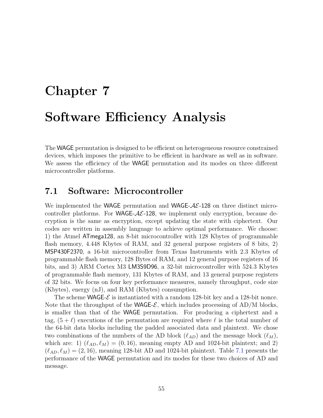# <span id="page-54-0"></span>Chapter 7 Software Efficiency Analysis

The WAGE permutation is designed to be efficient on heterogeneous resource constrained devices, which imposes the primitive to be efficient in hardware as well as in software. We assess the efficiency of the WAGE permutation and its modes on three different microcontroller platforms.

## <span id="page-54-1"></span>7.1 Software: Microcontroller

We implemented the WAGE permutation and WAGE- $AE$ -128 on three distinct microcontroller platforms. For WAGE- $A\mathcal{E}$ -128, we implement only encryption, because decryption is the same as encryption, except updating the state with ciphertext. Our codes are written in assembly language to achieve optimal performance. We choose: 1) the Atmel ATmega128, an 8-bit microcontroller with 128 Kbytes of programmable flash memory, 4.448 Kbytes of RAM, and 32 general purpose registers of 8 bits, 2) MSP430F2370, a 16-bit microcontroller from Texas Instruments with 2.3 Kbytes of programmable flash memory, 128 Bytes of RAM, and 12 general purpose registers of 16 bits, and 3) ARM Cortex M3 LM3S9D96, a 32-bit microcontroller with 524.3 Kbytes of programmable flash memory, 131 Kbytes of RAM, and 13 general purpose registers of 32 bits. We focus on four key performance measures, namely throughput, code size (Kbytes), energy (nJ), and RAM (Kbytes) consumption.

The scheme WAGE- $\mathcal E$  is instantiated with a random 128-bit key and a 128-bit nonce. Note that the throughput of the WAGE- $\mathcal{E}$ , which includes processing of AD/M blocks, is smaller than that of the WAGE permutation. For producing a ciphertext and a tag,  $(5 + \ell)$  executions of the permutation are required where  $\ell$  is the total number of the 64-bit data blocks including the padded associated data and plaintext. We chose two combinations of the numbers of the AD block  $(\ell_{AD})$  and the message block  $(\ell_M)$ , which are: 1)  $(\ell_{AD}, \ell_M) = (0, 16)$ , meaning empty AD and 1024-bit plaintext; and 2)  $(\ell_{AD}, \ell_M) = (2, 16)$ , meaning 128-bit AD and 1024-bit plaintext. Table [7.1](#page-55-0) presents the performance of the WAGE permutation and its modes for these two choices of AD and message.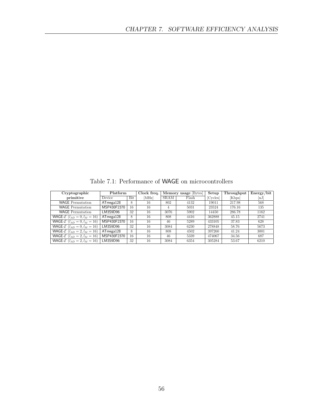Table 7.1: Performance of WAGE on microcontrollers

<span id="page-55-0"></span>

| Cryptographic                                            | Platform        |     | Clock freq. | Memory usage Bytes |                   | Setup  | Throughput | Energy/bit                   |
|----------------------------------------------------------|-----------------|-----|-------------|--------------------|-------------------|--------|------------|------------------------------|
| primitive                                                | Device          | Bit | [MHz]       | SRAM               | Flash<br>[Cycles] |        | [Kbps]     | $\left[ \mathrm{nJ} \right]$ |
| <b>WAGE</b> Permutation                                  | $AT$ mega $128$ | 8   | 16          | 802                | 4132              | 19011  | 217.98     | 568                          |
| <b>WAGE</b> Permutation                                  | MSP430F2370     | 16  | 16          | 4                  | 5031              | 23524  | 176.16     | 135                          |
| <b>WAGE</b> Permutation                                  | LM3S9D96        | 32  | 16          | 3076               | 5902              | 14450  | 286.78     | 1162                         |
| <b>WAGE-</b> $\mathcal{E}$ ( $l_{AD} = 0, l_M = 16$ )    | $AT$ mega $128$ | 8   | 16          | 808                | 4416              | 362888 | 45.15      | 2741                         |
| <b>WAGE-</b> $\mathcal{E}$ ( $l_{AD} = 0, l_M = 16$ )    | MSP430F2370     | 16  | 16          | 46                 | 5289              | 433105 | 37.83      | 628                          |
| WAGE- $\mathcal{E}$ ( $l_{AD} = 0$ , $l_M = 16$ )        | LM3S9D96        | 32  | 16          | 3084               | 6230              | 278848 | 58.76      | 5673                         |
| <b>WAGE-</b> $\mathcal{E}$ ( $l_{AD} = 2$ , $l_M = 16$ ) | $AT$ mega $128$ | 8   | 16          | 808                | 4502              | 397260 | 41.24      | 3001                         |
| <b>WAGE-</b> $\mathcal{E}$ ( $l_{AD} = 2, l_M = 16$ )    | MSP430F2370     | 16  | 16          | 46                 | 5339              | 474067 | 34.56      | 687                          |
| <b>WAGE-</b> $\mathcal{E}$ ( $l_{AD} = 2, l_M = 16$ )    | LM3S9D96        | 32  | 16          | 3084               | 6354              | 305284 | 53.67      | 6210                         |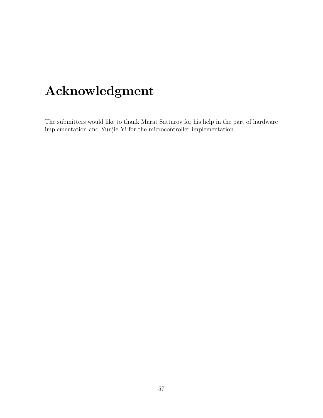## Acknowledgment

The submitters would like to thank Marat Sattarov for his help in the part of hardware implementation and Yunjie Yi for the microcontroller implementation.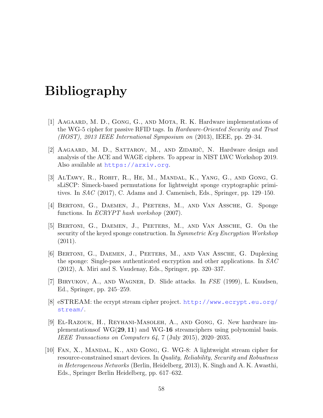## Bibliography

- <span id="page-57-4"></span>[1] AAGAARD, M. D., GONG, G., AND MOTA, R. K. Hardware implementations of the WG-5 cipher for passive RFID tags. In Hardware-Oriented Security and Trust (HOST), 2013 IEEE International Symposium on (2013), IEEE, pp. 29–34.
- <span id="page-57-9"></span>[2] AAGAARD, M. D., SATTAROV, M., AND ZIDARIČ, N. Hardware design and analysis of the ACE and WAGE ciphers. To appear in NIST LWC Workshop 2019. Also available at <https://arxiv.org>.
- <span id="page-57-0"></span>[3] AlTawy, R., Rohit, R., He, M., Mandal, K., Yang, G., and Gong, G. sLiSCP: Simeck-based permutations for lightweight sponge cryptographic primitives. In SAC (2017), C. Adams and J. Camenisch, Eds., Springer, pp. 129–150.
- <span id="page-57-1"></span>[4] Bertoni, G., Daemen, J., Peeters, M., and Van Assche, G. Sponge functions. In ECRYPT hash workshop (2007).
- <span id="page-57-2"></span>[5] Bertoni, G., Daemen, J., Peeters, M., and Van Assche, G. On the security of the keyed sponge construction. In Symmetric Key Encryption Workshop  $(2011).$
- <span id="page-57-8"></span>[6] Bertoni, G., Daemen, J., Peeters, M., and Van Assche, G. Duplexing the sponge: Single-pass authenticated encryption and other applications. In SAC (2012), A. Miri and S. Vaudenay, Eds., Springer, pp. 320–337.
- <span id="page-57-7"></span>[7] Biryukov, A., and Wagner, D. Slide attacks. In FSE (1999), L. Knudsen, Ed., Springer, pp. 245–259.
- <span id="page-57-3"></span>[8] eSTREAM: the ecrypt stream cipher project. [http://www.ecrypt.eu.org/](http://www.ecrypt.eu.org/stream/) [stream/](http://www.ecrypt.eu.org/stream/).
- <span id="page-57-6"></span>[9] El-Razouk, H., Reyhani-Masoleh, A., and Gong, G. New hardware implementationsof WG(29, 11) and WG-16 streamciphers using polynomial basis. IEEE Transactions on Computers  $64$ , 7 (July 2015), 2020–2035.
- <span id="page-57-5"></span>[10] Fan, X., Mandal, K., and Gong, G. WG-8: A lightweight stream cipher for resource-constrained smart devices. In Quality, Reliability, Security and Robustness in Heterogeneous Networks (Berlin, Heidelberg, 2013), K. Singh and A. K. Awasthi, Eds., Springer Berlin Heidelberg, pp. 617–632.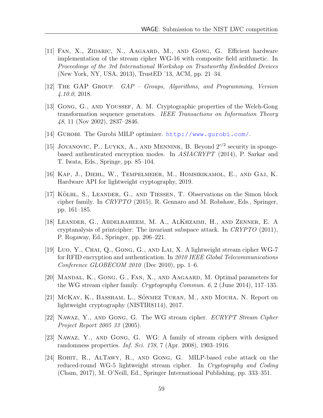- <span id="page-58-9"></span>[11] Fan, X., Zidaric, N., Aagaard, M., and Gong, G. Efficient hardware implementation of the stream cipher WG-16 with composite field arithmetic. In Proceedings of the 3rd International Workshop on Trustworthy Embedded Devices (New York, NY, USA, 2013), TrustED '13, ACM, pp. 21–34.
- <span id="page-58-7"></span>[12] The GAP Group. GAP – Groups, Algorithms, and Programming, Version 4.10.0, 2018.
- <span id="page-58-4"></span>[13] Gong, G., and Youssef, A. M. Cryptographic properties of the Welch-Gong transformation sequence generators. IEEE Transactions on Information Theory 48, 11 (Nov 2002), 2837–2846.
- <span id="page-58-3"></span>[14] Gurobi. The Gurobi MILP optimizer. <http://www.gurobi.com/>.
- <span id="page-58-5"></span>[15] JOVANOVIC, P., LUYKX, A., AND MENNINK, B. Beyond  $2^{c/2}$  security in spongebased authenticated encryption modes. In ASIACRYPT (2014), P. Sarkar and T. Iwata, Eds., Springe, pp. 85–104.
- <span id="page-58-13"></span>[16] Kap, J., Diehl, W., Tempelmeier, M., Homsirikamol, E., and Gaj, K. Hardware API for lightweight cryptography, 2019.
- <span id="page-58-2"></span>[17] KÖLBL, S., LEANDER, G., AND TIESSEN, T. Observations on the Simon block cipher family. In CRYPTO (2015), R. Gennaro and M. Robshaw, Eds., Springer, pp. 161–185.
- <span id="page-58-12"></span>[18] Leander, G., Abdelraheem, M. A., AlKhzaimi, H., and Zenner, E. A cryptanalysis of printcipher: The invariant subspace attack. In CRYPTO (2011), P. Rogaway, Ed., Springer, pp. 206–221.
- <span id="page-58-8"></span>[19] Luo, Y., CHAI, Q., GONG, G., AND LAI, X. A lightweight stream cipher WG-7 for RFID encryption and authentication. In 2010 IEEE Global Telecommunications Conference GLOBECOM  $2010$  (Dec 2010), pp. 1–6.
- <span id="page-58-10"></span>[20] Mandal, K., Gong, G., Fan, X., and Aagaard, M. Optimal parameters for the WG stream cipher family. Cryptography Commun. 6, 2 (June 2014), 117–135.
- <span id="page-58-6"></span>[21] McKay, K., Bassham, L., Sönmez Turan, M., and Mouha, N. Report on lightweight cryptography (NISTIR8114), 2017.
- <span id="page-58-0"></span>[22] Nawaz, Y., and Gong, G. The WG stream cipher. ECRYPT Stream Cipher Project Report 2005 33 (2005).
- <span id="page-58-1"></span>[23] Nawaz, Y., and Gong, G. WG: A family of stream ciphers with designed randomness properties. Inf. Sci. 178, 7 (Apr. 2008), 1903–1916.
- <span id="page-58-11"></span>[24] Rohit, R., AlTawy, R., and Gong, G. MILP-based cube attack on the reduced-round WG-5 lightweight stream cipher. In Cryptography and Coding (Cham, 2017), M. O'Neill, Ed., Springer International Publishing, pp. 333–351.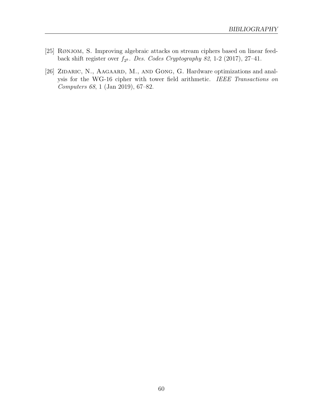- <span id="page-59-1"></span>[25] RØNJOM, S. Improving algebraic attacks on stream ciphers based on linear feedback shift register over  $f_{2^k}$ . Des. Codes Cryptography 82, 1-2 (2017), 27-41.
- <span id="page-59-0"></span>[26] ZIDARIC, N., AAGAARD, M., AND GONG, G. Hardware optimizations and analysis for the WG-16 cipher with tower field arithmetic. IEEE Transactions on Computers 68, 1 (Jan 2019), 67–82.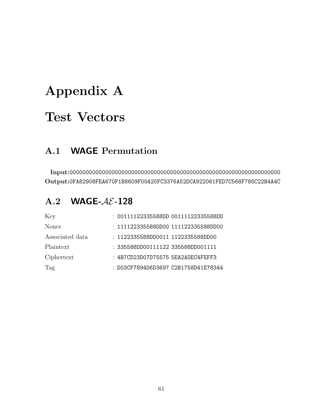## <span id="page-60-0"></span>Appendix A

## Test Vectors

## <span id="page-60-1"></span>A.1 WAGE Permutation

Input:00000000000000000000000000000000000000000000000000000000000000000 Output:0FA82908FEA670F1B8609F00420FC3376A52DCA922061FED7C568F785C22B4A4C

## <span id="page-60-2"></span> $A.2$  WAGE- $A\mathcal{E}$ -128

| Key             | : 00111122335588DD 00111122335588DD |
|-----------------|-------------------------------------|
| Nonce           | : 111122335588DD00 111122335588DD00 |
| Associated data | : 1122335588DD0011 1122335588DD00   |
| Plaintext       | : 335588DD00111122 335588DD001111   |
| Ciphertext      | : 4B7CD23D07D75575 5EA2ADEC4FEFF3   |
| Tag             | : D03CF7894D6D3697 C2B1758D41E78344 |